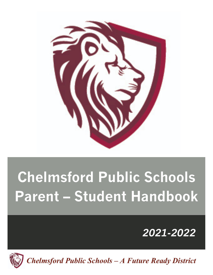

## <u>Chelmsford Public School</u>s<br>The Chelmsford Public Schools **Parent – Student Handbook Chelmsford Public Schools Parent – Student Handbook**

# *2021-2022*



 *Chelmsford Public Schools – A Future Ready District 2018-2019*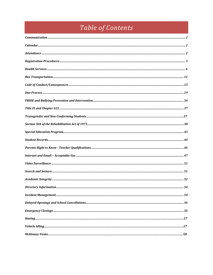## Table of Contents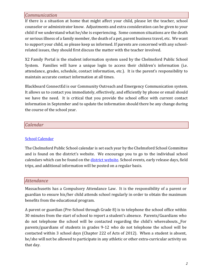## *Communication*

If there is a situation at home that might affect your child, please let the teacher, school counselor or administrator know. Adjustments and extra consideration can be given to your child if we understand what he/she is experiencing. Some common situations are the death or serious illness of a family member, the death of a pet, parent business travel, etc. We want to support your child, so please keep us informed. If parents are concerned with any schoolrelated issues, they should first discuss the matter with the teacher involved.

X2 Family Portal is the student information system used by the Chelmsford Public School System. Families will have a unique login to access their children's information (i.e. attendance, grades, schedule, contact information, etc.). It is the parent's responsibility to maintain accurate contact information at all times.

Blackboard ConnectEd is our Community Outreach and Emergency Communication system. It allows us to contact you immediately, effectively, and efficiently by phone or email should we have the need. It is critical that you provide the school office with current contact information in September and to update the information should there be any change during the course of the school year.

## *Calendar*

## **School Calendar**

The Chelmsford Public School calendar is set each year by the Chelmsford School Committee and is found on the district's website. We encourage you to go to the individual school calendars which can be found on the district website. School events, early release days, field trips, and additional information will be posted on a regular basis.

#### *Attendance*

Massachusetts has a Compulsory Attendance Law. It is the responsibility of a parent or guardian to ensure his/her child attends school regularly in order to obtain the maximum benefits from the educational program.

A parent or guardian (Pre-School through Grade 8) is to telephone the school office within 30 minutes from the start of school to report a student's absence. Parents/Guardians who do not telephone the school will be contacted regarding the child's whereabouts. For parents/guardians of students in grades 9-12 who do not telephone the school will be contacted within 3 school days (Chapter 222 of Acts of 2012). When a student is absent, he/she will not be allowed to participate in any athletic or other extra-curricular activity on that day.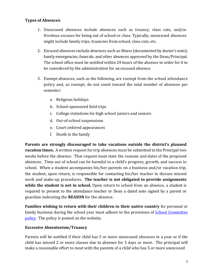#### **Types of Absences**:

- 1. Unexcused absences include absences such as truancy, class cuts, and/or frivolous excuses for being out of school or class. Typically, unexcused absences might include family trips, truancies from school, class cuts, etc.
- 2. Excused absences include absences such as illness (documented by doctor's note); family emergencies, funerals, and other absences approved by the Dean/Principal. The school office must be notified within 24 hours of the absence in order for it to be considered by the administration for an excused absence.
- 3. Exempt absences, such as the following, are exempt from the school attendance policy and, as exempt, do not count toward the total number of absences per semester:
	- a. Religious holidays
	- b. School-sponsored field trips
	- c. College visitations for high school juniors and seniors
	- d. Out-of-school suspensions
	- e. Court ordered appearances
	- f. Death in the family

**Parents are strongly discouraged to take vacations outside the district's planned vacation times.** A written request for trip absences must be submitted to the Principal two weeks before the absence. That request must state the reasons and dates of the proposed absences. Time out of school can be harmful to a child's progress, growth, and success in school. When a student accompanies his/her parents on a business and/or vacation trip, the student, upon return, is responsible for contacting his/her teacher to discuss missed work and make-up procedures. The teacher is not obligated to provide assignments **while the student is not in school.** Upon return to school from an absence, a student is required to present to the attendance teacher or Dean a dated note signed by a parent or guardian indicating the **REASON** for the absence.

**Families wishing to return with their children to their native country** for personal or family business during the school year must adhere to the provisions of School Committee policy. The policy is posted on the website.

#### **Excessive Absenteeism/Truancy**

Parents will be notified if their child has 5 or more unexcused absences in a year or if the child has missed 2 or more classes due to absence for 5 days or more. The principal will make a reasonable effort to meet with the parents of a child who has 5 or more unexcused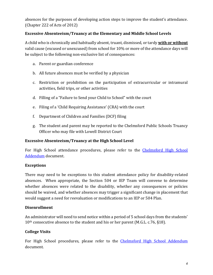absences for the purposes of developing action steps to improve the student's attendance. (Chapter 222 of Acts of 2012)

#### **Excessive Absenteeism/Truancy at the Elementary and Middle School Levels**

A child who is chronically and habitually absent, truant, dismissed, or tardy **with or without** valid cause (excused or unexcused) from school for 10% or more of the attendance days will be subject to the following non-exclusive list of consequences:

- a. Parent or guardian conference
- b. All future absences must be verified by a physician
- c. Restriction or prohibition on the participation of extracurricular or intramural activities, field trips, or other activities
- d. Filling of a "Failure to Send your Child to School" with the court
- e. Filing of a 'Child Requiring Assistance' (CRA) with the court
- f. Department of Children and Families (DCF) filing
- g. The student and parent may be reported to the Chelmsford Public Schools Truancy Officer who may file with Lowell District Court

#### **Excessive Absenteeism/Truancy at the High School Level**

For High School attendance procedures, please refer to the Chelmsford High School Addendum document.

#### **Exceptions**

There may need to be exceptions to this student attendance policy for disability-related absences. When appropriate, the Section 504 or IEP Team will convene to determine whether absences were related to the disability, whether any consequences or policies should be waived, and whether absences may trigger a significant change in placement that would suggest a need for reevaluation or modifications to an IEP or 504 Plan.

#### **Disenrollment**

An administrator will need to send notice within a period of 5 school days from the students'  $10<sup>th</sup>$  consecutive absence to the student and his or her parent (M.G.L. c.76, §18).

#### **College Visits**

For High School procedures, please refer to the Chelmsford High School Addendum document.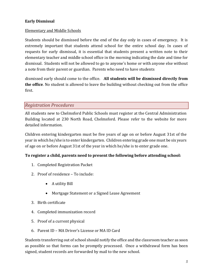#### **Early Dismissal**

#### **Elementary and Middle Schools**

Students should be dismissed before the end of the day only in cases of emergency. It is extremely important that students attend school for the entire school day. In cases of requests for early dismissal, it is essential that students present a written note to their elementary teacher and middle school office in the morning indicating the date and time for dismissal. Students will not be allowed to go to anyone's home or with anyone else without a note from their parent or guardian. Parents who need to have students

dismissed early should come to the office. All students will be dismissed directly from **the office**. No student is allowed to leave the building without checking out from the office first.

#### *Registration Procedures*

All students new to Chelmsford Public Schools must register at the Central Administration Building located at 230 North Road, Chelmsford. Please refer to the website for more detailed information.

Children entering kindergarten must be five years of age on or before August 31st of the year in which he/she is to enter kindergarten. Children entering grade one must be six years of age on or before August 31st of the year in which he/she is to enter grade one.

#### To register a child, parents need to present the following before attending school:

- 1. Completed Registration Packet
- 2. Proof of residence To include:
	- A utility Bill
	- Mortgage Statement or a Signed Lease Agreement
- 3. Birth certificate
- 4. Completed immunization record
- 5. Proof of a current physical
- 6. Parent ID MA Driver's License or MA ID Card

Students transferring out of school should notify the office and the classroom teacher as soon as possible so that forms can be promptly processed. Once a withdrawal form has been signed, student records are forwarded by mail to the new school.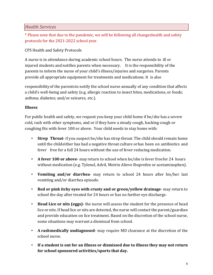## *Health Services*

\* Please note that due to the pandemic, we will be following all changeshealth and safety protocols for the 2021-2022 school year.

CPS Health and Safety Protocols

A nurse is in attendance during academic school hours. The nurse attends to ill or injured students and notifies parents when necessary. It is the responsibility of the parents to inform the nurse of your child's illness/injuries and surgeries. Parents provide all appropriate equipment for treatments and medications. It is also

responsibility of the parents to notify the school nurse annually of any condition that affects a child's well-being and safety (e.g. allergic reaction to insect bites, medications, or foods; asthma; diabetes; and/or seizures, etc.).

## **Illness**

For public health and safety, we request you keep your child home if he/she has a severe cold, rash with other symptoms, and or if they have a steady cough, hacking cough or coughing fits with fever 100 or above. Your child needs to stay home with:

- **Strep** Throat- if you suspect he/she has strep throat. The child should remain home until the child either has had a negative throat culture orhas been on antibiotics and fever free for a full 24 hours without the use of fever reducing medication.
- A **fever 100 or above** may return to school when he/she is fever free for 24 hours without medication (e.g. Tylenol, Advil, Motrin Alieve Ibuprofen or acetaminophen).
- Vomiting and/or diarrhea- may return to school 24 hours after his/her last vomiting and/or diarrhea episode.
- **Red or pink itchy eyes with crusty and or green/yellow drainage** may return to school the day after treated for 24 hours or has no further eye discharge.
- Head Lice or nits (eggs)- the nurse will assess the student for the presence of head lice or nits. If head lice or nits are detected, the nurse will contact the parent/guardian and provide education on lice treatment. Based on the discretion of the school nurse. some situations may warrant a dismissal from school.
- A rash medically undiagnosed- may require MD clearance at the discretion of the school nurse.
- If a student is out for an illness or dismissed due to illness they may not return for school sponsored activities/sports that day.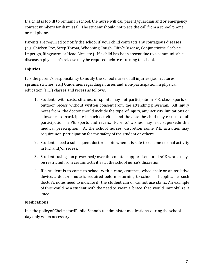If a child is too ill to remain in school, the nurse will call parent/guardian and or emergency contact numbers for dismissal. The student should not place the call from a school phone or cell phone.

Parents are required to notify the school if your child contracts any contagious diseases (e.g. Chicken Pox, Strep Throat, Whooping Cough, Fifth's Disease, Conjunctivitis, Scabies, Impetigo, Ringworm or Head Lice, etc.). If a child has been absent due to a communicable disease, a physician's release may be required before returning to school.

## **Injuries**

It is the parent's responsibility to notify the school nurse of all injuries (i.e., fractures, sprains, stitches, etc.) Guidelines regarding injuries and non-participation in physical education (P.E.) classes and recess as follows:

- 1. Students with casts, stitches, or splints may not participate in P.E. class, sports or outdoor recess without written consent from the attending physician. All injury notes from the doctor should include the type of injury, any activity limitations or allowance to participate in such activities and the date the child may return to full participation in PE, sports and recess. Parents' wishes may not supersede this medical prescription. At the school nurses' discretion some P.E. activities may require non-participation for the safety of the student or others.
- 2. Students need a subsequent doctor's note when it is safe to resume normal activity in P.E. and/or recess.
- 3. Students using non prescribed/over the counter support items and ACE wraps may be restricted from certain activities at the school nurse's discretion.
- 4. If a student is to come to school with a cane, crutches, wheelchair or an assistive device, a doctor's note is required before returning to school. If applicable, such doctor's notes need to indicate if the student can or cannot use stairs. An example of this would be a student with the need to wear a brace that would immobilize a knee.

## **Medications**

It is the policy of ChelmsfordPublic Schools to administer medications during the school day only when necessary.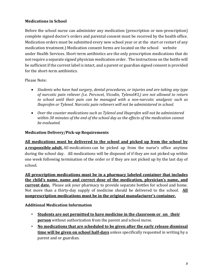## **Medications in School**

Before the school nurse can administer any medication (prescription or non-prescription) complete signed doctor's orders and parental consent must be received by the health office. Medication orders must be submitted every new school year or at the start or restart of any medication treatment.) Medication consent forms are located on the school website under Health Services. Short-term antibiotics are the only prescription medications that do not require a separate signed physician medication order. The instructions on the bottle will be sufficient if the current label is intact, and a parent or guardian signed consent is provided for the short-term antibiotics.

Please Note:

- Students who have had surgery, dental procedures, or injuries and are taking any type of narcotic pain reliever (i.e. Percocet, Vicodin, Tylenol#3,) are not allowed to return to school until their pain can be managed with a non-narcotic analgesic such as *Ibuprofen or Tylenol. Narcotic pain relievers will not be administered in school.*
- Over the counter medications such as Tylenol and Ibuprofen will not be administered within 30 minutes of the end of the school day as the effects of the medication cannot *be evaluated.*

#### **Medication Delivery/Pick-up Requirements**

All medications must be delivered to the school and picked up from the school by **a responsible adult.** All medications can be picked up from the nurse's office anytime during the school day. All medications will be disposed of if they are not picked up within one week following termination of the order or if they are not picked up by the last day of school.

All prescription medications must be in a pharmacy labeled container that includes the child's name, name and correct dose of the medication, physician's name, and **current date.** Please ask your pharmacy to provide separate bottles for school and home. Not more than a thirty-day supply of medicine should be delivered to the school. **All nonprescription medications must be in the original manufacturer's container.** 

#### **Additional Medication Information**

- Students are not permitted to have medicine in the classroom or on their **person** without authorization from the parent and school nurse.
- No medications that are scheduled to be given after the early release dismissal **time will be given on school half-days** unless specifically requested in writing by a parent and or guardian.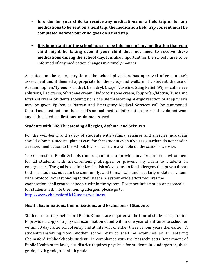- In order for your child to receive any medications on a field trip or for any medications to be sent on a field trip, the medication field trip consent must be completed before your child goes on a field trip.
- It is important for the school nurse to be informed of any medication that your child might be taking even if your child does not need to receive these **medications during the school day.** It is also important for the school nurse to be informed of any medication changes in a timely manner.

As noted on the emergency form, the school physician, has approved after a nurse's assessment and if deemed appropriate for the safety and welfare of a student, the use of Acetaminophen/Tylenol, Caladryl, Benadryl, Oragel, Vaseline, Sting Relief Wipes, saline eye solutions, Bacitracin, Silvadene cream, Hydrocortisone cream, Ibuprofen/Motrin, Tums and First Aid cream. Students showing signs of a life threatening allergic reaction or anaphylaxis may be given EpiPen or Narcan and Emergency Medical Services will be summoned. Guardians must note on their child's annual medical information form if they do not want any of the listed medications or ointments used.

## **Students with Life Threatening Allergies, Asthma, and Seizures**

For the well-being and safety of students with asthma, seizures and allergies, guardians should submit a medical plan of care for that student even if you as guardian do not send in a related medication to the school. Plans of care are available on the school's website.

The Chelmsford Public Schools cannot guarantee to provide an allergen-free environment for all students with life-threatening allergies, or prevent any harm to students in emergencies. The goal is to minimize the risk of exposure to food allergens that pose a threat to those students, educate the community, and to maintain and regularly update a systemwide protocol for responding to their needs. A system-wide effort requires the cooperation of all groups of people within the system. For more information on protocols for students with life threatening allergies, please go to: http://www.chelmsford.k12.ma.us/wellness

#### **Health Examinations, Immunizations, and Exclusions of Students**

Students entering Chelmsford Public Schools are required at the time of student registration to provide a copy of a physical examination dated within one year of entrance to school or within 30 days after school entry and at intervals of either three or four years thereafter. A student transferring from another school district shall be examined as an entering Chelmsford Public Schools student. In compliance with the Massachusetts Department of Public Health state laws, our district requires physicals for students in kindergarten, third grade, sixth grade, and ninth grade.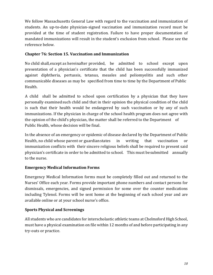We follow Massachusetts General Law with regard to the vaccination and immunization of students. An up-to-date physician-signed vaccination and immunization record must be provided at the time of student registration. Failure to have proper documentation of mandated immunizations will result in the student's exclusion from school. Please see the reference below.

## **Chapter 76: Section 15. Vaccination and Immunization**

No child shall, except as hereinafter provided, be admitted to school except upon presentation of a physician's certificate that the child has been successfully immunized against diphtheria, pertussis, tetanus, measles and poliomyelitis and such other communicable diseases as may be specified from time to time by the Department of Public Health.

A child shall be admitted to school upon certification by a physician that they have personally examined such child and that in their opinion the physical condition of the child is such that their health would be endangered by such vaccination or by any of such immunizations. If the physician in charge of the school health program does not agree with the opinion of the child's physician, the matter shall be referred to the Department of Public Health, whose decision will be final.

In the absence of an emergency or epidemic of disease declared by the Department of Public Health, no child whose parent or guardian states in writing that vaccination or immunization conflicts with their sincere religious beliefs shall be required to present said physician's certificate in order to be admitted to school. This must be submitted annually to the nurse.

## **Emergency Medical Information Forms**

Emergency Medical Information forms must be completely filled out and returned to the Nurses' Office each year. Forms provide important phone numbers and contact persons for dismissals, emergencies, and signed permission for some over the counter medications including Tylenol. Forms will be sent home at the beginning of each school year and are available online or at your school nurse's office.

## **Sports Physical and Screenings**

All students who are candidates for interscholastic athletic teams at Chelmsford High School, must have a physical examination on file within 12 months of and before participating in any try-outs or practice.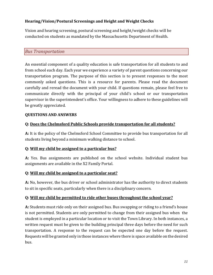## **Hearing/Vision/Postural Screenings and Height and Weight Checks**

Vision and hearing screening, postural screening and height/weight checks will be conducted on students as mandated by the Massachusetts Department of Health.

## *Bus Transportation*

An essential component of a quality education is safe transportation for all students to and from school each day. Each year we experience a variety of parent questions concerning our transportation program. The purpose of this section is to present responses to the most commonly asked questions. This is a resource for parents. Please read the document carefully and reread the document with your child. If questions remain, please feel free to communicate directly with the principal of your child's school or our transportation supervisor in the superintendent's office. Your willingness to adhere to these guidelines will be greatly appreciated.

#### **QUESTIONS AND ANSWERS**

#### **Q:** Does the Chelmsford Public Schools provide transportation for all students?

A: It is the policy of the Chelmsford School Committee to provide bus transportation for all students living beyond a minimum walking distance to school.

#### **Q: Will my child be assigned to a particular bus?**

A: Yes. Bus assignments are published on the school website. Individual student bus assignments are available in the X2 Family Portal.

#### **Q: Will my child be assigned to a particular seat?**

A: No, however, the bus driver or school administrator has the authority to direct students to sit in specific seats, particularly when there is a disciplinary concern.

#### **Q:** Will my child be permitted to ride other buses throughout the school year?

**A:** Students must ride only on their assigned bus. Bus swapping or riding to a friend's house is not permitted. Students are only permitted to change from their assigned bus when the student is employed in a particular location or to visit the Town Library. In both instances, a written request must be given to the building principal three days before the need for such transportation. A response to the request can be expected one day before the request. Requests will be granted only in those instances where there is space available on the desired bus.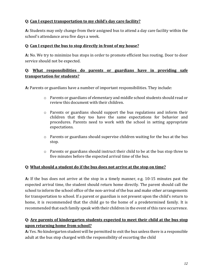## **Q:** Can I expect transportation to my child's day care facility?

A: Students may only change from their assigned bus to attend a day care facility within the school's attendance area five days a week.

## **Q:** Can I expect the bus to stop directly in front of my house?

A: No. We try to minimize bus stops in order to promote efficient bus routing. Door to door service should not be expected.

## **Q: What responsibilities do parents or guardians have in providing safe transportation for students?**

**A:** Parents or guardians have a number of important responsibilities. They include:

- $\circ$  Parents or guardians of elementary and middle school students should read or review this document with their children.
- $\circ$  Parents or guardians should support the bus regulations and inform their children that they too have the same expectations for behavior and procedures. Parents need to work with the school in setting appropriate expectations.
- $\circ$  Parents or guardians should supervise children waiting for the bus at the bus stop.
- $\circ$  Parents or guardians should instruct their child to be at the bus stop three to five minutes before the expected arrival time of the bus.

## **Q: What should a student do if the bus does not arrive at the stop on time?**

A: If the bus does not arrive at the stop in a timely manner, e.g. 10-15 minutes past the expected arrival time, the student should return home directly. The parent should call the school to inform the school office of the non-arrival of the bus and make other arrangements for transportation to school. If a parent or guardian is not present upon the child's return to home, it is recommended that the child go to the home of a predetermined family. It is recommended that each family speak with their children in the event of this rare occurrence.

## **Q:** Are parents of kindergarten students expected to meet their child at the bus stop **upon returning home from school?**

A: Yes. No kindergarten student will be permitted to exit the bus unless there is a responsible adult at the bus stop charged with the responsibility of escorting the child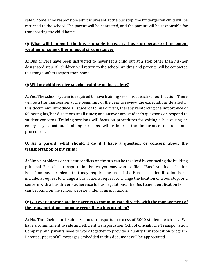safely home. If no responsible adult is present at the bus stop, the kindergarten child will be returned to the school. The parent will be contacted, and the parent will be responsible for transporting the child home.

## **Q: What will happen if the bus is unable to reach a bus stop because of inclement weather or some other unusual circumstance?**

A: Bus drivers have been instructed to never let a child out at a stop other than his/her designated stop. All children will return to the school building and parents will be contacted to arrange safe transportation home.

## **Q: Will my child receive special training on bus safety?**

A: Yes. The school system is required to have training sessions at each school location. There will be a training session at the beginning of the year to review the expectations detailed in this document; introduce all students to bus drivers, thereby reinforcing the importance of following his/her directions at all times; and answer any student's questions or respond to student concerns. Training sessions will focus on procedures for exiting a bus during an emergency situation. Training sessions will reinforce the importance of rules and procedures.

## **Q:** As a parent, what should I do if I have a question or concern about the **transportation of my child?**

A: Simple problems or student conflicts on the bus can be resolved by contacting the building principal. For other transportation issues, you may want to file a "Bus Issue Identification Form" online. Problems that may require the use of the Bus Issue Identification Form include: a request to change a bus route, a request to change the location of a bus stop, or a concern with a bus driver's adherence to bus regulations. The Bus Issue Identification Form can be found on the school website under Transportation.

## **Q:** Is it ever appropriate for parents to communicate directly with the management of **the transportation company regarding a bus problem?**

A: No. The Chelmsford Public Schools transports in excess of 5000 students each day. We have a commitment to safe and efficient transportation. School officials, the Transportation Company and parents need to work together to provide a quality transportation program. Parent support of all messages embedded in this document will be appreciated.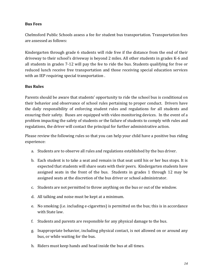#### **Bus Fees**

Chelmsford Public Schools assess a fee for student bus transportation. Transportation fees are assessed as follows:

Kindergarten through grade 6 students will ride free if the distance from the end of their driveway to their school's driveway is beyond 2 miles. All other students in grades K-6 and all students in grades 7-12 will pay the fee to ride the bus. Students qualifying for free or reduced lunch receive free transportation and those receiving special education services with an IEP requiring special transportation.

#### **Bus Rules**

Parents should be aware that students' opportunity to ride the school bus is conditional on their behavior and observance of school rules pertaining to proper conduct. Drivers have the daily responsibility of enforcing student rules and regulations for all students and ensuring their safety. Buses are equipped with video monitoring devices. In the event of a problem impacting the safety of students or the failure of students to comply with rules and regulations, the driver will contact the principal for further administrative action.

Please review the following rules so that you can help your child have a positive bus riding experience:

- a. Students are to observe all rules and regulations established by the bus driver.
- b. Each student is to take a seat and remain in that seat until his or her bus stops. It is expected that students will share seats with their peers. Kindergarten students have assigned seats in the front of the bus. Students in grades 1 through 12 may be assigned seats at the discretion of the bus driver or school administrator.
- c. Students are not permitted to throw anything on the bus or out of the window.
- d. All talking and noise must be kept at a minimum.
- e. No smoking (i.e. including e-cigarettes) is permitted on the bus; this is in accordance with State law.
- f. Students and parents are responsible for any physical damage to the bus.
- g. Inappropriate behavior, including physical contact, is not allowed on or around any bus, or while waiting for the bus.
- h. Riders must keep hands and head inside the bus at all times.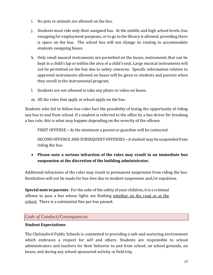- i. No pets or animals are allowed on the bus.
- j. Students must ride only their assigned bus. At the middle and high school levels, bus swapping for employment purposes, or to go to the library is allowed, providing there is space on the bus. The school bus will not change its routing to accommodate students swapping buses.
- k. Only small musical instruments are permitted on the buses, instruments that can be kept in a child's lap or within the area of a child's seat. Large musical instruments will not be permitted on the bus due to safety concerns. Specific information relative to approved instruments allowed on buses will be given to students and parents when they enroll in the instrumental program.
- l. Students are not allowed to take any photo or video on buses.
- m. All the rules that apply at school apply on the bus.

Students who fail to follow bus rules face the possibility of losing the opportunity of riding any bus to and from school. If a student is referred to the office by a bus driver for breaking a bus rule, this is what may happen depending on the severity of the offense.

FIRST OFFENSE – At the minimum a parent or guardian will be contacted.

SECOND OFFENCE AND SUBSEQUENT OFFENSES - A student may be suspended from riding the bus.

• Please note a serious infraction of the rules may result in an immediate bus suspension at the discretion of the building administrator.

Additional infractions of the rules may result in permanent suspension from riding the bus. Restitution will not be made for bus fees due to student suspension and/or expulsion.

**Special note to parents**: For the sake of the safety of your children, it is a criminal offense to pass a bus whose lights are flashing whether on the road or at the school. There is a substantial fine per bus passed.

## *Code of Conduct/Consequences*

#### **Student Expectations**

The Chelmsford Public Schools is committed to providing a safe and nurturing environment which embraces a respect for self and others. Students are responsible to school administrators and teachers for their behavior to and from school, on school grounds, on buses, and during any school-sponsored activity or field trip.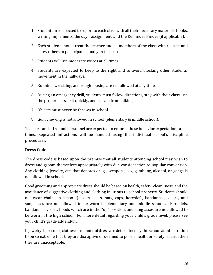- 1. Students are expected to report to each class with all their necessary materials, books, writing implements, the day's assignment, and the Reminder Binder (if applicable).
- 2. Each student should treat the teacher and all members of the class with respect and allow others to participate equally in the lesson.
- 3. Students will use moderate voices at all times.
- 4. Students are expected to keep to the right and to avoid blocking other students' movement in the hallways.
- 5. Running, wrestling, and roughhousing are not allowed at any time.
- 6. During an emergency drill, students must follow directions, stay with their class, use the proper exits, exit quickly, and refrain from talking.
- 7. Objects must never be thrown in school.
- 8. Gum chewing is not allowed in school (elementary & middle school).

Teachers and all school personnel are expected to enforce these behavior expectations at all times. Repeated infractions will be handled using the individual school's discipline procedures. 

#### **Dress Code**

The dress code is based upon the premise that all students attending school may wish to dress and groom themselves appropriately with due consideration to popular convention. Any clothing, jewelry, etc. that denotes drugs, weapons, sex, gambling, alcohol, or gangs is not allowed in school.

Good grooming and appropriate dress should be based on health, safety, cleanliness, and the avoidance of suggestive clothing and clothing injurious to school property. Students should not wear chains in school. Jackets, coats, hats, caps, kerchiefs, bandannas, visors, and sunglasses are not allowed to be worn in elementary and middle schools. Kerchiefs, bandannas, visors, hoods which are in the "up" position, and sunglasses are not allowed to be worn in the high school. For more detail regarding your child's grade level, please see your child's grade addendum.

If jewelry, hair color, clothes or manner of dress are determined by the school administration to be so extreme that they are disruptive or deemed to pose a health or safety hazard, then they are unacceptable.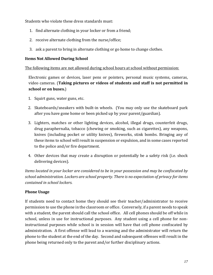Students who violate these dress standards must:

- 1. find alternate clothing in your locker or from a friend;
- 2. receive alternate clothing from the nurse/office;
- 3. ask a parent to bring in alternate clothing or go home to change clothes.

#### **Items Not Allowed During School**

The following items are not allowed during school hours at school without permission:

Electronic games or devices, laser pens or pointers, personal music systems, cameras, video cameras. (Taking pictures or videos of students and staff is not permitted in school or on buses.)

- 1. Squirt guns, water guns, etc.
- 2. Skateboards/sneakers with built-in wheels. (You may only use the skateboard park after you have gone home or been picked up by your parent/guardian).
- 3. Lighters, matches or other lighting devices, alcohol, illegal drugs, counterfeit drugs, drug paraphernalia, tobacco (chewing or smoking, such as cigarettes), any weapons, knives (including pocket or utility knives), fireworks, stink bombs. Bringing any of these items to school will result in suspension or expulsion, and in some cases reported to the police and/or fire department.
- 4. Other devices that may create a disruption or potentially be a safety risk (i.e. shock delivering devices).

*Items located in your locker are considered to be in your possession and may be confiscated by* school administration. Lockers are school property. There is no expectation of privacy for items *contained in school lockers.* 

## **Phone Usage**

If students need to contact home they should see their teacher/administrator to receive permission to use the phone in the classroom or office. Conversely, if a parent needs to speak with a student, the parent should call the school office. All cell phones should be off while in school, unless in use for instructional purposes. Any student using a cell phone for noninstructional purposes while school is in session will have that cell phone confiscated by administration. A first offense will lead to a warning and the administrator will return the phone to the student at the end of the day. Second and subsequent offenses will result in the phone being returned only to the parent and/or further disciplinary actions.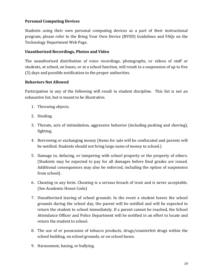## **Personal Computing Devices**

Students using their own personal computing devices as a part of their instructional program, please refer to the Bring Your Own Device (BYOD) Guidelines and FAQs on the Technology Department Web Page.

#### Unauthorized Recordings, Photos and Video

The unauthorized distribution of voice recordings, photographs, or videos of staff or students, at school, on buses, or at a school function, will result in a suspension of up to five (5) days and possible notification to the proper authorities.

#### **Behaviors Not Allowed**

Participation in any of the following will result in student discipline. This list is not an exhaustive list, but is meant to be illustrative.

- 1. Throwing objects.
- 2. Stealing.
- 3. Threats, acts of intimidation, aggressive behavior (including pushing and shoving), fighting.
- 4. Borrowing or exchanging money (Items for sale will be confiscated and parents will be notified. Students should not bring large sums of money to school.)
- 5. Damage to, defacing, or tampering with school property or the property of others. (Students may be expected to pay for all damages before final grades are issued. Additional consequences may also be enforced, including the option of suspension from school).
- 6. Cheating in any form. Cheating is a serious breach of trust and is never acceptable. (See Academic Honor Code)
- 7. Unauthorized leaving of school grounds. In the event a student leaves the school grounds during the school day, the parent will be notified and will be expected to return the student to school immediately. If a parent cannot be reached, the School Attendance Officer and Police Department will be notified in an effort to locate and return the student to school.
- 8. The use of or possession of tobacco products, drugs/counterfeit drugs within the school building, on school grounds, or on school buses.
- 9. Harassment, hazing, or bullying.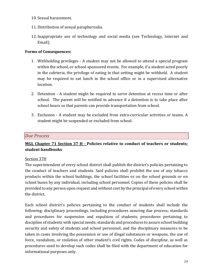- 10. Sexual harassment.
- 11. Distribution of sexual paraphernalia.
- 12. Inappropriate use of technology and social media (see Technology, Internet and Email).

#### **Forms of Consequences:**

- 1. Withholding privileges A student may not be allowed to attend a special program within the school, or school-sponsored events. For example, if a student acted poorly in the cafeteria, the privilege of eating in that setting might be withheld. A student may be required to eat lunch in the school office or in a supervised alternative location.
- 2. Detention A student might be required to serve detention at recess time or after school. The parent will be notified in advance if a detention is to take place after school hours so that parents can provide transportation from school.
- 3. Exclusion A student may be excluded from extra-curricular activities or teams. A student might be suspended or excluded from school.

## *Due Process*

## **MGL Chapter 71 Section 37 H - Policies relative to conduct of teachers or students; student handbooks**

#### Section 37H

The superintendent of every school district shall publish the district's policies pertaining to the conduct of teachers and students. Said policies shall prohibit the use of any tobacco products within the school buildings, the school facilities or on the school grounds or on school buses by any individual, including school personnel. Copies of these policies shall be provided to any person upon request and without cost by the principal of every school within the district.

Each school district's policies pertaining to the conduct of students shall include the following: disciplinary proceedings, including procedures assuring due process; standards and procedures for suspension and expulsion of students; procedures pertaining to discipline of students with special needs; standards and procedures to assure school building security and safety of students and school personnel; and the disciplinary measures to be taken in cases involving the possession or use of illegal substances or weapons, the use of force, vandalism, or violation of other student's civil rights. Codes of discipline, as well as procedures used to develop such codes shall be filed with the department of education for informational purposes only.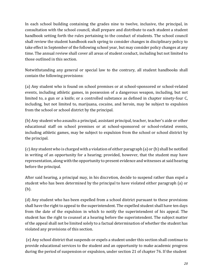In each school building containing the grades nine to twelve, inclusive, the principal, in consultation with the school council, shall prepare and distribute to each student a student handbook setting forth the rules pertaining to the conduct of students. The school council shall review the student handbook each spring to consider changes in disciplinary policy to take effect in September of the following school year, but may consider policy changes at any time. The annual review shall cover all areas of student conduct, including but not limited to those outlined in this section.

Notwithstanding any general or special law to the contrary, all student handbooks shall contain the following provisions:

(a) Any student who is found on school premises or at school-sponsored or school-related events, including athletic games, in possession of a dangerous weapon, including, but not limited to, a gun or a knife; or a controlled substance as defined in chapter ninety-four C, including, but not limited to, marijuana, cocaine, and heroin, may be subject to expulsion from the school or school district by the principal.

(b) Any student who assaults a principal, assistant principal, teacher, teacher's aide or other educational staff on school premises or at school-sponsored or school-related events, including athletic games, may be subject to expulsion from the school or school district by the principal.

(c) Any student who is charged with a violation of either paragraph  $(a)$  or (b) shall be notified in writing of an opportunity for a hearing; provided, however, that the student may have representation, along with the opportunity to present evidence and witnesses at said hearing before the principal.

After said hearing, a principal may, in his discretion, decide to suspend rather than expel a student who has been determined by the principal to have violated either paragraph (a) or (b). 

(d) Any student who has been expelled from a school district pursuant to these provisions shall have the right to appeal to the superintendent. The expelled student shall have ten days from the date of the expulsion in which to notify the superintendent of his appeal. The student has the right to counsel at a hearing before the superintendent. The subject matter of the appeal shall not be limited solely to a factual determination of whether the student has violated any provisions of this section.

(e) Any school district that suspends or expels a student under this section shall continue to provide educational services to the student and an opportunity to make academic progress during the period of suspension or expulsion, under section 21 of chapter 76. If the student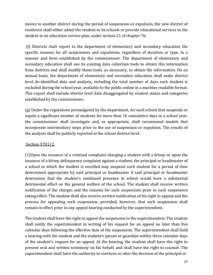moves to another district during the period of suspension or expulsion, the new district of residence shall either admit the student to its schools or provide educational services to the student in an education service plan, under section 21 of chapter 76.

(f) Districts shall report to the department of elementary and secondary education the specific reasons for all suspensions and expulsions, regardless of duration or type, in a manner and form established by the commissioner. The department of elementary and secondary education shall use its existing data collection tools to obtain this information from districts and shall modify those tools, as necessary, to obtain the information. On an annual basis, the department of elementary and secondary education shall make district level de-identified data and analysis, including the total number of days each student is excluded during the school year, available to the public online in a machine readable format. This report shall include district level data disaggregated by student status and categories established by the commissioner.

(g) Under the regulations promulgated by the department, for each school that suspends or expels a significant number of students for more than 10 cumulative days in a school year, the commissioner shall investigate and, as appropriate, shall recommend models that incorporate intermediary steps prior to the use of suspension or expulsion. The results of the analysis shall be publicly reported at the school district level.

#### Section 37H1/2.

 $(1)$ Upon the issuance of a criminal complaint charging a student with a felony or upon the issuance of a felony delinquency complaint against a student, the principal or headmaster of a school in which the student is enrolled may suspend such student for a period of time determined appropriate by said principal or headmaster if said principal or headmaster determines that the student's continued presence in school would have a substantial detrimental effect on the general welfare of the school. The student shall receive written notification of the charges and the reasons for such suspension prior to such suspension taking effect. The student shall also receive written notification of his right to appeal and the process for appealing such suspension; provided, however, that such suspension shall remain in effect prior to any appeal hearing conducted by the superintendent.

The student shall have the right to appeal the suspension to the superintendent. The student shall notify the superintendent in writing of his request for an appeal no later than five calendar days following the effective date of the suspension. The superintendent shall hold a hearing with the student and the student's parent or guardian within three calendar days of the student's request for an appeal. At the hearing, the student shall have the right to present oral and written testimony on his behalf, and shall have the right to counsel. The superintendent shall have the authority to overturn or alter the decision of the principal or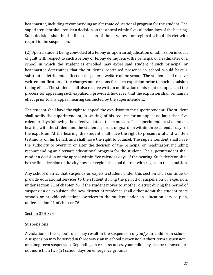headmaster, including recommending an alternate educational program for the student. The superintendent shall render a decision on the appeal within five calendar days of the hearing. Such decision shall be the final decision of the city, town or regional school district with regard to the suspension.

(2) Upon a student being convicted of a felony or upon an adjudication or admission in court of guilt with respect to such a felony or felony delinguency, the principal or headmaster of a school in which the student is enrolled may expel said student if such principal or headmaster determines that the student's continued presence in school would have a substantial detrimental effect on the general welfare of the school. The student shall receive written notification of the charges and reasons for such expulsion prior to such expulsion taking effect. The student shall also receive written notification of his right to appeal and the process for appealing such expulsion; provided, however, that the expulsion shall remain in effect prior to any appeal hearing conducted by the superintendent.

The student shall have the right to appeal the expulsion to the superintendent. The student shall notify the superintendent, in writing, of his request for an appeal no later than five calendar days following the effective date of the expulsion. The superintendent shall hold a hearing with the student and the student's parent or guardian within three calendar days of the expulsion. At the hearing, the student shall have the right to present oral and written testimony on his behalf, and shall have the right to counsel. The superintendent shall have the authority to overturn or alter the decision of the principal or headmaster, including recommending an alternate educational program for the student. The superintendent shall render a decision on the appeal within five calendar days of the hearing. Such decision shall be the final decision of the city, town or regional school district with regard to the expulsion.

Any school district that suspends or expels a student under this section shall continue to provide educational services to the student during the period of suspension or expulsion, under section 21 of chapter 76. If the student moves to another district during the period of suspension or expulsion, the new district of residence shall either admit the student to its schools or provide educational services to the student under an education service plan, under section 21 of chapter 76.

#### Section 37H 3/4

#### Suspensions

A violation of the school rules may result in the suspension of you/your child from school. A suspension may be served in three ways: an in-school suspension, a short-term suspension, or a long-term suspension. Depending on circumstances, your child may also be removed for not more than two (2) school days on emergency grounds.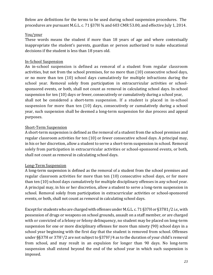Below are definitions for the terms to be used during school suspension procedures. The procedures are pursuant M.G.L. c. 71 §37H  $\frac{3}{4}$  and 603 CMR 53.00, and effective July 1, 2014.

#### You/your

These words means the student if more than 18 years of age and where contextually inappropriate the student's parents, guardian or person authorized to make educational decisions if the student is less than 18 years old.

## In-School Suspension

An in-school suspension is defined as removal of a student from regular classroom activities, but not from the school premises, for no more than  $(10)$  consecutive school days, or no more than ten (10) school days cumulatively for multiple infractions during the school year. Removal solely from participation in extracurricular activities or schoolsponsored events, or both, shall not count as removal in calculating school days. In-school suspension for ten (10) days or fewer, consecutively or cumulatively during a school year, shall not be considered a short-term suspension. If a student is placed in in-school suspension for more than ten (10) days, consecutively or cumulatively during a school year, such suspension shall be deemed a long-term suspension for due process and appeal purposes.

## Short-Term Suspension

A short-term suspension is defined as the removal of a student from the school premises and regular classroom activities for ten (10) or fewer consecutive school days. A principal may, in his or her discretion, allow a student to serve a short-term suspension in school. Removal solely from participation in extracurricular activities or school-sponsored events, or both, shall not count as removal in calculating school days.

## Long-Term Suspension

A long-term suspension is defined as the removal of a student from the school premises and regular classroom activities for more than ten  $(10)$  consecutive school days, or for more than ten (10) school days cumulatively for multiple disciplinary offenses in any school year. A principal may, in his or her discretion, allow a student to serve a long-term suspension in school. Removal solely from participation in extracurricular activities or school-sponsored events, or both, shall not count as removal in calculating school days.

Except for students who are charged with offenses under M.G.L. c. 71 §37H or §37H1/2 *i.e.*, with possession of drugs or weapons on school grounds, assault on a staff member, or are charged with or convicted of a felony or felony delinquency, no student may be placed on long-term suspension for one or more disciplinary offenses for more than ninety (90) school days in a school year beginning with the first day that the student is removed from school. Offenses under  $\S$ §37H or 37H<sup>1</sup>/2 are not subject to §37H<sup>3</sup>/4 as to the duration of your child's removal from school, and may result in an expulsion for longer than 90 days. No long-term suspension shall extend beyond the end of the school year in which such suspension is imposed.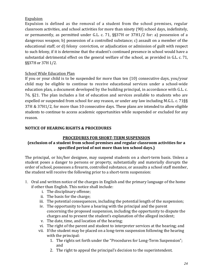#### Expulsion

Expulsion is defined as the removal of a student from the school premises, regular classroom activities, and school activities for more than ninety (90) school days, indefinitely, or permanently, as permitted under G.L. c. 71,  $\S$ §37H or 37H1/2 for: a) possession of a dangerous weapon; b) possession of a controlled substance; c) assault on a member of the educational staff; or d) felony conviction, or adjudication or admission of guilt with respect to such felony, if it is determine that the student's continued presence in school would have a substantial detrimental effect on the general welfare of the school, as provided in G.L. c. 71, §§37H or 37H 1/2.

#### School Wide Education Plan

If you or your child is to be suspended for more than ten  $(10)$  consecutive days, you/your child may be eligible to continue to receive educational services under a school-wide education plan, a document developed by the building principal, in accordance with G.L. c. 76, §21. The plan includes a list of education and services available to students who are expelled or suspended from school for any reason, or under any law including M.G.L. c.  $71\$ 37H & 37H1/2, for more than 10 consecutive days. These plans are intended to allow eligible students to continue to access academic opportunities while suspended or excluded for any reason.

#### **NOTICE OF HEARING RIGHTS & PROCEDURES**

#### **PROCEDURES FOR SHORT-TERM SUSPENSION**

#### **(exclusion of a student from school premises and regular classroom activities for a** specified period of not more than ten school days.)

The principal, or his/her designee, may suspend students on a short-term basis. Unless a student poses a danger to persons or property, substantially and materially disrupts the order of school, possesses a firearm, controlled substance, or assaults a school staff member, the student will receive the following prior to a short-term suspension:

- 1. Oral and written notice of the charges in English and the primary language of the home if other than English. This notice shall include:
	- i. The disciplinary offense;
	- ii. The basis for the charge;
	- iii. The potential consequences, including the potential length of the suspension;
	- iv. The opportunity to have a hearing with the principal and the parent concerning the proposed suspension, including the opportunity to dispute the charges and to present the student's explanation of the alleged incident;
	- v. The date, time, and location of the hearing;
	- vi. The right of the parent and student to interpreter services at the hearing; and
	- vii. If the student may be placed on a long-term suspension following the hearing with the principal:
		- 1. The rights set forth under the "Procedures for Long-Term Suspension"; and
		- 2. The right to appeal the principal's decision to the superintendent.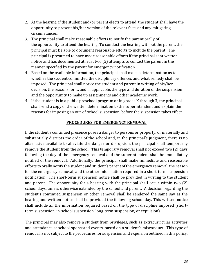- 2. At the hearing, if the student and/or parent elects to attend, the student shall have the opportunity to present his/her version of the relevant facts and any mitigating circumstances.
- 3. The principal shall make reasonable efforts to notify the parent orally of the opportunity to attend the hearing. To conduct the hearing without the parent, the principal must be able to document reasonable efforts to include the parent. The principal is presumed to have made reasonable efforts if the principal sent written notice and has documented at least two (2) attempts to contact the parent in the manner specified by the parent for emergency notification.
- 4. Based on the available information, the principal shall make a determination as to whether the student committed the disciplinary offences and what remedy shall be imposed. The principal shall notice the student and parent in writing of his/her decision, the reasons for it, and, if applicable, the type and duration of the suspension and the opportunity to make up assignments and other academic work.
- 5. If the student is in a public preschool program or in grades K through 3, the principal shall send a copy of the written determination to the superintendent and explain the reasons for imposing an out-of-school suspension, before the suspension takes effect.

#### **PROCEDURES FOR EMERGENCY REMOVAL**

If the student's continued presence poses a danger to persons or property, or materially and substantially disrupts the order of the school and, in the principal's judgment, there is no alternative available to alleviate the danger or disruption, the principal shall temporarily remove the student from the school. This temporary removal shall not exceed two (2) days following the day of the emergency removal and the superintendent shall be immediately notified of the removal. Additionally, the principal shall make immediate and reasonable efforts to orally notify the student and student's parent of the emergency removal, the reason for the emergency removal, and the other information required in a short-term suspension notification. The short-term suspension notice shall be provided in writing to the student and parent. The opportunity for a hearing with the principal shall occur within two  $(2)$ school days, unless otherwise extended by the school and parent. A decision regarding the student's continued suspension or other removal shall be rendered the same say as the hearing and written notice shall be provided the following school day. This written notice shall include all the information required based on the type of discipline imposed (shortterm suspension, in-school suspension, long-term suspension, or expulsion).

The principal may also remove a student from privileges, such as extracurricular activities and attendance at school-sponsored events, based on a student's misconduct. This type of removal is not subject to the procedures for suspension and expulsion outlined in this policy.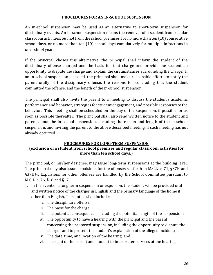#### **PROCEDURES FOR AN IN-SCHOOL SUSPENSION**

An in-school suspension may be used as an alternative to short-term suspension for disciplinary events. An in-school suspension means the removal of a student from regular classroom activities, but not from the school premises, for no more than ten (10) consecutive school days, or no more than ten (10) school days cumulatively for multiple infractions in one school year.

If the principal choses this alternative, the principal shall inform the student of the disciplinary offense charged and the basis for that charge and provide the student an opportunity to dispute the charge and explain the circumstances surrounding the charge. If an in-school suspension is issued, the principal shall make reasonable efforts to notify the parent orally of the disciplinary offense, the reasons for concluding that the student committed the offense, and the length of the in-school suspension.

The principal shall also invite the parent to a meeting to discuss the student's academic performance and behavior, strategies for student engagement, and possible responses to the behavior. This meeting shall be scheduled on the day of the suspension, if possible, or as soon as possible thereafter. The principal shall also send written notice to the student and parent about the in-school suspension, including the reason and length of the in-school suspension, and inviting the parent to the above described meeting, if such meeting has not already occurred.

#### **PROCEDURES FOR LONG-TERM SUSPENSION**

#### **(exclusion of a student from school premises and regular classroom activities for** more than ten school days.)

The principal, or his/her designee, may issue long-term suspensions at the building level. The principal may also issue expulsions for the offenses set forth in M.G.L. c. 71,  $\S 37H$  and §37H½. Expulsions for other offenses are handled by the School Committee pursuant to M.G.L. c. 76, §16 and §17.

- 1. In the event of a long term suspension or expulsion, the student will be provided oral and written notice of the charges in English and the primary language of the home if other than English. This notice shall include:
	- i. The disciplinary offense;
	- ii. The basis for the charge;
	- iii. The potential consequences, including the potential length of the suspension;
	- iv. The opportunity to have a hearing with the principal and the parent concerning the proposed suspension, including the opportunity to dispute the charges and to present the student's explanation of the alleged incident;
	- v. The date, time, and location of the hearing; and
	- vi. The right of the parent and student to interpreter services at the hearing.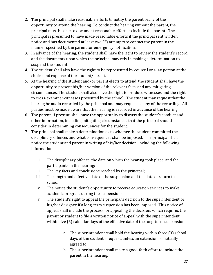- 2. The principal shall make reasonable efforts to notify the parent orally of the opportunity to attend the hearing. To conduct the hearing without the parent, the principal must be able to document reasonable efforts to include the parent. The principal is presumed to have made reasonable efforts if the principal sent written notice and has documented at least two (2) attempts to contact the parent in the manner specified by the parent for emergency notification.
- 3. In advance of the hearing, the student shall have the right to review the student's record and the documents upon which the principal may rely in making a determination to suspend the student.
- 4. The student shall also have the right to be represented by counsel or a lay person at the choice and expense of the student/parent.
- 5. At the hearing, if the student and/or parent elects to attend, the student shall have the opportunity to present his/her version of the relevant facts and any mitigating circumstances. The student shall also have the right to produce witnesses and the right to cross-examine witnesses presented by the school. The student may request that the hearing be audio recorded by the principal and may request a copy of the recording. All parties must be made aware that the hearing is recorded in advance of the hearing.
- 6. The parent, if present, shall have the opportunity to discuss the student's conduct and other information, including mitigating circumstances that the principal should consider in determining consequences for the student.
- 7. The principal shall make a determination as to whether the student committed the disciplinary offences and what consequences shall be imposed. The principal shall notice the student and parent in writing of his/her decision, including the following information:
	- i. The disciplinary offence, the date on which the hearing took place, and the participants in the hearing;
	- ii. The key facts and conclusions reached by the principal;
	- iii. The length and effective date of the suspension and the date of return to school;
	- iv. The notice the student's opportunity to receive education services to make academic progress during the suspension;
	- v. The student's right to appeal the principal's decision to the superintendent or his/her designee if a long-term suspension has been imposed. This notice of appeal shall include the process for appealing the decision, which requires the parent or student to file a written notice of appeal with the superintendent within five (5) calendar days of the effective date of the long-term suspension.
		- a. The superintendent shall hold the hearing within three (3) school days of the student's request, unless an extension is mutually agreed to.
		- b. The superintendent shall make a good-faith effort to include the parent in the hearing.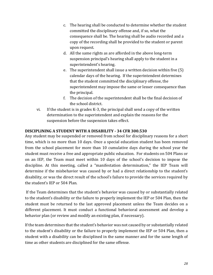- c. The hearing shall be conducted to determine whether the student committed the disciplinary offense and, if so, what the consequence shall be. The hearing shall be audio recorded and a copy of the recording shall be provided to the student or parent upon request.
- d. All the same rights as are afforded in the above long-term suspension principal's hearing shall apply to the student in a superintendent's hearing.
- e. The superintendent shall issue a written decision within five  $(5)$ calendar days of the hearing. If the superintendent determines that the student committed the disciplinary offense, the superintendent may impose the same or lesser consequence than the principal.
- f. The decision of the superintendent shall be the final decision of the school district.
- vi. If the student is in grades K-3, the principal shall send a copy of the written determination to the superintendent and explain the reasons for the suspension before the suspension takes effect.

#### **DISCIPLINING A STUDENT WITH A DISABILITY - 34 CFR 300.530**

Any student may be suspended or removed from school for disciplinary reasons for a short time, which is no more than 10 days. Once a special education student has been removed from the school placement for more than 10 cumulative days during the school year the student must receive a free and appropriate public education. For students on 504 Plans or on an IEP, the Team must meet within 10 days of the school's decision to impose the discipline. At this meeting, called a "manifestation determination," the IEP Team will determine if the misbehavior was caused by or had a direct relationship to the student's disability, or was the direct result of the school's failure to provide the services required by the student's IEP or 504 Plan.

If the Team determines that the student's behavior was caused by or substantially related to the student's disability or the failure to properly implement the IEP or 504 Plan, then the student must be returned to the last approved placement unless the Team decides on a different placement. It must conduct a functional behavioral assessment and develop a behavior plan (or review and modify an existing plan, if necessary).

If the team determines that the student's behavior was not caused by or substantially related to the student's disability or the failure to properly implement the IEP or 504 Plan, then a student with a disability can be disciplined in the same manner and for the same length of time as other students are disciplined for the same offense.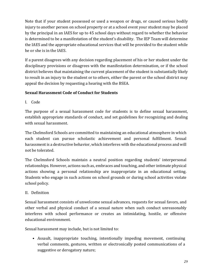Note that if your student possessed or used a weapon or drugs, or caused serious bodily injury to another person on school property or at a school event your student may be placed by the principal in an IAES for up to 45 school days without regard to whether the behavior is determined to be a manifestation of the student's disability. The IEP Team will determine the IAES and the appropriate educational services that will be provided to the student while he or she is in the IAES.

If a parent disagrees with any decision regarding placement of his or her student under the disciplinary provisions or disagrees with the manifestation determination, or if the school district believes that maintaining the current placement of the student is substantially likely to result in an injury to the student or to others, either the parent or the school district may appeal the decision by requesting a hearing with the BSEA.

## **Sexual Harassment Code of Conduct for Students**

I. Code

The purpose of a sexual harassment code for students is to define sexual harassment, establish appropriate standards of conduct, and set guidelines for recognizing and dealing with sexual harassment.

The Chelmsford Schools are committed to maintaining an educational atmosphere in which each student can pursue scholastic achievement and personal fulfillment. Sexual harassment is a destructive behavior, which interferes with the educational process and will not be tolerated.

The Chelmsford Schools maintain a neutral position regarding students' interpersonal relationships. However, actions such as, embraces and touching, and other intimate physical actions showing a personal relationship are inappropriate in an educational setting. Students who engage in such actions on school grounds or during school activities violate school policy.

## II. Definition

Sexual harassment consists of unwelcome sexual advances, requests for sexual favors, and other verbal and physical conduct of a sexual nature when such conduct unreasonably interferes with school performance or creates an intimidating, hostile, or offensive educational environment.

Sexual harassment may include, but is not limited to:

• Assault, inappropriate touching, intentionally impeding movement, continuing verbal comments, gestures, written or electronically posted communications of a suggestive or derogatory nature;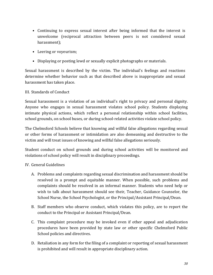- Continuing to express sexual interest after being informed that the interest is unwelcome (reciprocal attraction between peers is not considered sexual harassment);
- Leering or voyeurism;
- Displaying or posting lewd or sexually explicit photographs or materials.

Sexual harassment is described by the victim. The individual's feelings and reactions determine whether behavior such as that described above is inappropriate and sexual harassment has taken place.

#### III. Standards of Conduct

Sexual harassment is a violation of an individual's right to privacy and personal dignity. Anyone who engages in sexual harassment violates school policy. Students displaying intimate physical actions, which reflect a personal relationship within school facilities, school grounds, on school buses, or during school-related activities violate school policy.

The Chelmsford Schools believe that knowing and willful false allegations regarding sexual or other forms of harassment or intimidation are also demeaning and destructive to the victim and will treat issues of knowing and willful false allegations seriously.

Student conduct on school grounds and during school activities will be monitored and violations of school policy will result in disciplinary proceedings.

#### IV. General Guidelines

- A. Problems and complaints regarding sexual discrimination and harassment should be resolved in a prompt and equitable manner. When possible, such problems and complaints should be resolved in an informal manner. Students who need help or wish to talk about harassment should see their. Teacher, Guidance Counselor, the School Nurse, the School Psychologist, or the Principal/Assistant Principal/Dean.
- B. Staff members who observe conduct, which violates this policy, are to report the conduct to the Principal or Assistant Principal/Dean.
- C. This complaint procedure may be invoked even if other appeal and adjudication procedures have been provided by state law or other specific Chelmsford Public School policies and directives.
- D. Retaliation in any form for the filing of a complaint or reporting of sexual harassment is prohibited and will result in appropriate disciplinary action.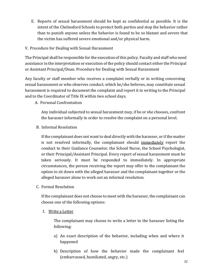- E. Reports of sexual harassment should be kept as confidential as possible. It is the intent of the Chelmsford Schools to protect both parties and stop the behavior rather than to punish anyone unless the behavior is found to be so blatant and severe that the victim has suffered severe emotional and/or physical harm.
- V. Procedure for Dealing with Sexual Harassment

The Principal shall be responsible for the execution of this policy. Faculty and staff who need assistance in the interpretation or execution of the policy should contact either the Principal or Assistant Principal/Dean. Procedure for Dealing with Sexual Harassment

Any faculty or staff member who receives a complaint verbally or in writing concerning sexual harassment or who observes conduct, which he/she believes, may constitute sexual harassment is required to document the complaint and report it in writing to the Principal and to the Coordinator of Title IX within two school days.

A. Personal Confrontation

Any individual subjected to sexual harassment may, if he or she chooses, confront the harasser informally in order to resolve the complaint on a personal level.

B. Informal Resolution

If the complainant does not want to deal directly with the harasser, or if the matter is not resolved informally, the complainant should immediately report the conduct to their Guidance Counselor, the School Nurse, the School Psychologist, or their Principal/Assistant Principal. Every report of sexual harassment must be taken seriously. It must be responded to immediately. In appropriate circumstances, the person receiving the report may offer to the complainant the option to sit down with the alleged harasser and the complainant together or the alleged harasser alone to work out an informal resolution.

C. Formal Resolution

If the complainant does not choose to meet with the harasser, the complainant can choose one of the following options:

1. Write a Letter

The complainant may choose to write a letter to the harasser listing the following:

- a) An exact description of the behavior, including when and where it happened
- b) Description of how the behavior made the complainant feel (embarrassed, humiliated, angry, etc.)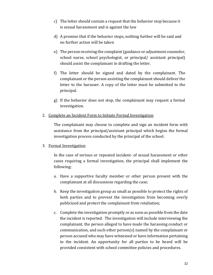- c) The letter should contain a request that the behavior stop because it is sexual harassment and is against the law
- d) A promise that if the behavior stops, nothing further will be said and no further action will be taken
- e) The person receiving the complaint (guidance or adjustment counselor, school nurse, school psychologist, or principal/ assistant principal) should assist the complainant in drafting the letter.
- f) The letter should be signed and dated by the complainant. The complainant or the person assisting the complainant should deliver the letter to the harasser. A copy of the letter must be submitted to the principal.
- g) If the behavior does not stop, the complainant may request a formal investigation.
- 2. Complete an Incident Form to Initiate Formal Investigation

The complainant may choose to complete and sign an incident form with assistance from the principal/assistant principal which begins the formal investigation process conducted by the principal of the school.

#### 3. Formal Investigation

In the case of serious or repeated incident- of sexual harassment or other cases requiring a formal investigation, the principal shall implement the following:

- a. Have a supportive faculty member or other person present with the complainant at all discussions regarding the case;
- b. Keep the investigation group as small as possible to protect the rights of both parties and to prevent the investigation from becoming overly publicized and protect the complainant from retaliation;
- c. Complete the investigation promptly or as soon as possible from the date the incident is reported. The investigation will include interviewing the complainant, the person alleged to have made the harassing conduct or communication, and such other  $person(s)$  named by the complainant or person accused who may have witnessed or have information pertaining to the incident. An opportunity for all parties to be heard will be provided consistent with school committee policies and procedures.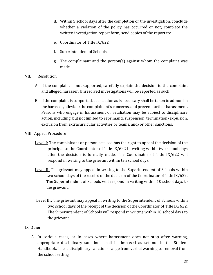- d. Within 5 school days after the completion or the investigation, conclude whether a violation of the policy has occurred or not; complete the written investigation report form, send copies of the report to:
- e. Coordinator of Title IX/622
- f. Superintendent of Schools.
- g. The complainant and the person(s) against whom the complaint was made.
- VII. Resolution
	- A. If the complaint is not supported, carefully explain the decision to the complaint and alleged harasser. Unresolved investigations will be reported as such.
	- B. If the complaint is supported, such action as is necessary shall be taken to admonish the harasser, alleviate the complainant's concerns, and prevent further harassment. Persons who engage in harassment or retaliation may be subject to disciplinary action, including, but not limited to reprimand, suspension, termination/expulsion, exclusion from extracurricular activities or teams, and/or other sanctions.
- VIII. Appeal Procedure
	- Level I: The complainant or person accused has the right to appeal the decision of the principal to the Coordinator of Title  $IX/622$  in writing within two school days after the decision is formally made. The Coordinator of Title IX/622 will respond in writing to the grievant within ten school days.
	- Level II: The grievant may appeal in writing to the Superintendent of Schools within two school days of the receipt of the decision of the Coordinator of Title IX/622. The Superintendent of Schools will respond in writing within 10 school days to the grievant.
	- Level III: The grievant may appeal in writing to the Superintendent of Schools within two school days of the receipt of the decision of the Coordinator of Title IX/622. The Superintendent of Schools will respond in writing within 10 school days to the grievant.

#### IX. Other

A. In serious cases, or in cases where harassment does not stop after warning, appropriate disciplinary sanctions shall be imposed as set out in the Student Handbook. These disciplinary sanctions range from verbal warning to removal from the school setting.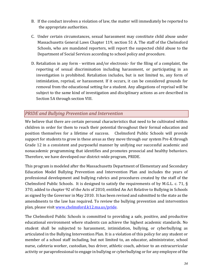- B. If the conduct involves a violation of law, the matter will immediately be reported to the appropriate authorities.
- C. Under certain circumstances, sexual harassment may constitute child abuse under Massachusetts General Laws Chapter 119, section 51 A. The staff of the Chelmsford Schools, who are mandated reporters, will report the suspected child abuse to the Department of Social Services according to school policy and procedure.
- D. Retaliation in any form written and/or electronic- for the filing of a complaint, the reporting of sexual discrimination including harassment, or participating in an investigation is prohibited. Retaliation includes, but is not limited to, any form of intimidation, reprisal, or harassment. If it occurs, it can be considered grounds for removal from the educational setting for a student. Any allegations of reprisal will be subject to the same kind of investigation and disciplinary actions as are described in Section 5A through section VIII.

## *PRIDE* and Bullying Prevention and Intervention

We believe that there are certain personal characteristics that need to be cultivated within children in order for them to reach their potential throughout their formal education and position themselves for a lifetime of success. Chelmsford Public Schools will provide support for students to grow in these areas as they move through our system Pre-K through Grade 12 in a consistent and purposeful manner by unifying our successful academic and nonacademic programming that identifies and promotes prosocial and healthy behaviors. Therefore, we have developed our district-wide program, PRIDE.

This program is modeled after the Massachusetts Department of Elementary and Secondary Education Model Bullying Prevention and Intervention Plan and includes the years of professional development and bullying rubrics and procedures created by the staff of the Chelmsford Public Schools. It is designed to satisfy the requirements of by M.G.L. c. 71,  $\S$ 370, added to chapter 92 of the Acts of 2010, entitled An Act Relative to Bullying in Schools as signed by the Governor in May 2010. It has been revised and submitted to the state as the amendments to the law has required. To review the bullying prevention and intervention plan, please visit www.chelmsford.k12.ma.us/pride.

The Chelmsford Public Schools is committed to providing a safe, positive, and productive educational environment where students can achieve the highest academic standards. No student shall be subjected to harassment, intimidation, bullying, or cyberbullying as articulated in the Bullying Intervention Plan. It is a violation of this policy for any student or member of a school staff including, but not limited to, an educator, administrator, school nurse, cafeteria worker, custodian, bus driver, athletic coach, advisor to an extracurricular activity or paraprofessional to engage in bullying or cyberbullying or for any employee of the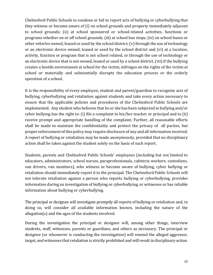Chelmsford Public Schools to condone or fail to report acts of bullying or cyberbullying that they witness or become aware of (i) on school grounds and property immediately adjacent to school grounds; (ii) at school sponsored or school-related activities, functions or programs whether on or off school grounds; (iii) at school bus stops; (iv) on school buses or other vehicles owned, leased or used by the school district;  $(v)$  through the use of technology or an electronic device owned, leased or used by the school district and (vi) at a location, activity, function or program that is not school related, or through the use of technology or an electronic device that is not owned, leased or used by a school district, (vii) if the bullying creates a hostile environment at school for the victim, infringes on the rights of the victim at school or materially and substantially disrupts the education process or the orderly operation of a school.

It is the responsibility of every employee, student and parent/guardian to recognize acts of bullying, cyberbullying and retaliation against students and take every action necessary to ensure that the applicable policies and procedures of the Chelmsford Public Schools are implemented. Any student who believes that he or she has been subjected to bullying and/or cyber bullying has the right to: (i) file a complaint to his/her teacher or principal and to (ii) receive prompt and appropriate handling of the complaint. Further, all reasonable efforts shall be made to maintain the confidentiality and protect the privacy of all parties, but proper enforcement of this policy may require disclosure of any and all information received. A report of bullying or retaliation may be made anonymously, provided that no disciplinary action shall be taken against the student solely on the basis of such report.

Students, parents and Chelmsford Public Schools' employees (including but not limited to educators, administrators, school nurses, paraprofessionals, cafeteria workers, custodians, van drivers, van monitors), who witness or become aware of bullying, cyber bullying or retaliation should immediately report it to the principal. The Chelmsford Public Schools will not tolerate retaliation against a person who reports bullying or cyberbullying, provides information during an investigation of bullying or cyberbullying, or witnesses or has reliable information about bullying or cyberbullying.

The principal or designee will investigate promptly all reports of bullying or retaliation and, in doing so, will consider all available information known, including the nature of the allegation(s) and the ages of the students involved.

During the investigation the principal or designee will, among other things, interview students, staff, witnesses, parents or guardians, and others as necessary. The principal or designee (or whomever is conducting the investigation) will remind the alleged aggressor, target, and witnesses that retaliation is strictly prohibited and will result in disciplinary action.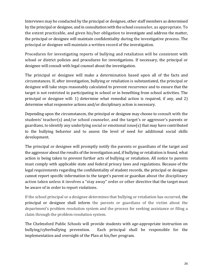Interviews may be conducted by the principal or designee, other staff members as determined by the principal or designee, and in consultation with the school counselor, as appropriate. To the extent practicable, and given his/her obligation to investigate and address the matter, the principal or designee will maintain confidentiality during the investigative process. The principal or designee will maintain a written record of the investigation.

Procedures for investigating reports of bullying and retaliation will be consistent with school or district policies and procedures for investigations. If necessary, the principal or designee will consult with legal counsel about the investigation.

The principal or designee will make a determination based upon all of the facts and circumstances. If, after investigation, bullying or retaliation is substantiated, the principal or designee will take steps reasonably calculated to prevent recurrence and to ensure that the target is not restricted in participating in school or in benefiting from school activities. The principal or designee will: 1) determine what remedial action is required, if any, and 2) determine what responsive actions and/or disciplinary action is necessary.

Depending upon the circumstances, the principal or designee may choose to consult with the students' teacher(s) and/or school counselor, and the target's or aggressor's parents or guardians, to identify any underlying social or emotional issue(s) that may have contributed to the bullying behavior and to assess the level of need for additional social skills development.

The principal or designee will promptly notify the parents or guardians of the target and the aggressor about the results of the investigation and, if bullying or retaliation is found, what action is being taken to prevent further acts of bullying or retaliation. All notice to parents must comply with applicable state and federal privacy laws and regulations. Because of the legal requirements regarding the confidentiality of student records, the principal or designee cannot report specific information to the target's parent or guardian about the disciplinary action taken unless it involves a "stay away" order or other directive that the target must be aware of in order to report violations.

If the school principal or a designee determines that bullying or retaliation has occurred, the principal or designee shall inform the parents or guardians of the victim about the department's problem resolution system and the process for seeking assistance or filing a claim through the problem resolution system.

The Chelmsford Public Schools will provide students with age-appropriate instruction on bullying/cyberbullying prevention. Each principal shall be responsible for the implementation and oversight of the Plan at his/her program.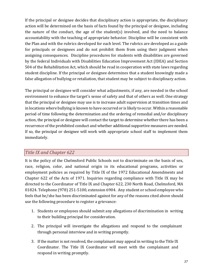If the principal or designee decides that disciplinary action is appropriate, the disciplinary action will be determined on the basis of facts found by the principal or designee, including the nature of the conduct, the age of the student(s) involved, and the need to balance accountability with the teaching of appropriate behavior. Discipline will be consistent with the Plan and with the rubrics developed for each level. The rubrics are developed as a guide for principals or designees and do not prohibit them from using their judgment when assigning consequences. Discipline procedures for students with disabilities are governed by the federal Individuals with Disabilities Education Improvement Act (IDEA) and Section 504 of the Rehabilitation Act, which should be read in cooperation with state laws regarding student discipline. If the principal or designee determines that a student knowingly made a false allegation of bullying or retaliation, that student may be subject to disciplinary action.

The principal or designee will consider what adjustments, if any, are needed in the school environment to enhance the target's sense of safety and that of others as well. One strategy that the principal or designee may use is to increase adult supervision at transition times and in locations where bullying is known to have occurred or is likely to occur. Within a reasonable period of time following the determination and the ordering of remedial and/or disciplinary action, the principal or designee will contact the target to determine whether there has been a recurrence of the prohibited conduct and whether additional supportive measures are needed. If so, the principal or designee will work with appropriate school staff to implement them immediately.

## *Title IX and Chapter 622*

It is the policy of the Chelmsford Public Schools not to discriminate on the basis of sex, race, religion, color, and national origin in its educational programs, activities or employment policies as required by Title IX of the 1972 Educational Amendments and Chapter  $622$  of the Acts of 1971. Inquiries regarding compliance with Title IX may be directed to the Coordinator of Title IX and Chapter 622, 230 North Road, Chelmsford, MA 01824. Telephone (978) 251-5100, extension 6904. Any student or school employee who feels that he/she has been discriminated against for any of the reasons cited above should use the following procedure to register a grievance:

- 1. Students or employees should submit any allegations of discrimination in writing to their building principal for consideration.
- 2. The principal will investigate the allegations and respond to the complainant through personal interview and in writing promptly.
- 3. If the matter is not resolved, the complainant may appeal in writing to the Title IX Coordinator. The Title IX Coordinator will meet with the complainant and respond in writing promptly.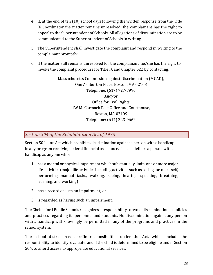- 4. If, at the end of ten (10) school days following the written response from the Title IX Coordinator the matter remains unresolved, the complainant has the right to appeal to the Superintendent of Schools. All allegations of discrimination are to be communicated to the Superintendent of Schools in writing.
- 5. The Superintendent shall investigate the complaint and respond in writing to the complainant promptly.
- 6. If the matter still remains unresolved for the complainant, he/she has the right to invoke the complaint procedure for Title IX and Chapter 622 by contacting:

Massachusetts Commission against Discrimination (MCAD), One Ashburton Place, Boston, MA 02108 Telephone: (617) 727-3990 *And/or* Office for Civil Rights 1W McCormack Post Office and Courthouse, Boston, MA 02109 Telephone: (617) 223-9662

## Section 504 of the Rehabilitation Act of 1973

Section 504 is an Act which prohibits discrimination against a person with a handicap in any program receiving federal financial assistance. The act defines a person with a handicap as anyone who:

- 1. has a mental or physical impairment which substantially limits one or more major life activities (major life activities including activities such as caring for one's self, performing manual tasks, walking, seeing, hearing, speaking, breathing, learning, and working)
- 2. has a record of such an impairment; or
- 3. is regarded as having such an impairment.

The Chelmsford Public Schools recognizes a responsibility to avoid discrimination in policies and practices regarding its personnel and students. No discrimination against any person with a handicap will knowingly be permitted in any of the programs and practices in the school system.

The school district has specific responsibilities under the Act, which include the responsibility to identify, evaluate, and if the child is determined to be eligible under Section 504, to afford access to appropriate educational services.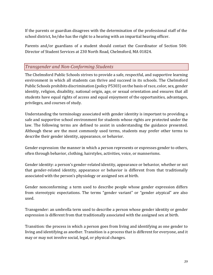If the parents or guardian disagrees with the determination of the professional staff of the school district, he/she has the right to a hearing with an impartial hearing officer.

Parents and/or guardians of a student should contact the Coordinator of Section 504: Director of Student Services at 230 North Road, Chelmsford, MA 01824.

## *Transgender and Non-Conforming Students*

The Chelmsford Public Schools strives to provide a safe, respectful, and supportive learning environment in which all students can thrive and succeed in its schools. The Chelmsford Public Schools prohibits discrimination (policy P5303) on the basis of race, color, sex, gender identity, religion, disability, national origin, age, or sexual orientation and ensures that all students have equal rights of access and equal enjoyment of the opportunities, advantages, privileges, and courses of study.

Understanding the terminology associated with gender identity is important to providing a safe and supportive school environment for students whose rights are protected under the law. The following terms are defined to assist in understanding the guidance presented. Although these are the most commonly used terms, students may prefer other terms to describe their gender identity, appearance, or behavior.

Gender expression: the manner in which a person represents or expresses gender to others, often through behavior, clothing, hairstyles, activities, voice, or mannerisms.

Gender identity: a person's gender-related identity, appearance or behavior, whether or not that gender-related identity, appearance or behavior is different from that traditionally associated with the person's physiology or assigned sex at birth.

Gender nonconforming: a term used to describe people whose gender expression differs from stereotypic expectations. The terms "gender variant" or "gender atypical" are also used.

Transgender: an umbrella term used to describe a person whose gender identity or gender expression is different from that traditionally associated with the assigned sex at birth.

Transition: the process in which a person goes from living and identifying as one gender to living and identifying as another. Transition is a process that is different for everyone, and it may or may not involve social, legal, or physical changes.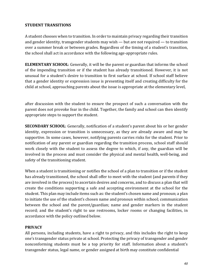#### **STUDENT TRANSITIONS**

A student chooses when to transition. In order to maintain privacy regarding their transition and gender identity, transgender students may wish  $-$  but are not required  $-$  to transition over a summer break or between grades. Regardless of the timing of a student's transition, the school shall act in accordance with the following age-appropriate rules.

**ELEMENTARY SCHOOL:** Generally, it will be the parent or guardian that informs the school of the impending transition or if the student has already transitioned. However, it is not unusual for a student's desire to transition to first surface at school. If school staff believe that a gender identity or expression issue is presenting itself and creating difficulty for the child at school, approaching parents about the issue is appropriate at the elementary level,

after discussion with the student to ensure the prospect of such a conversation with the parent does not provoke fear in the child. Together, the family and school can then identify appropriate steps to support the student.

**SECONDARY SCHOOL:** Generally, notification of a student's parent about his or her gender identity, expression or transition is unnecessary, as they are already aware and may be supportive. In some cases, however, notifying parents carries risks for the student. Prior to notification of any parent or guardian regarding the transition process, school staff should work closely with the student to assess the degree to which, if any, the guardian will be involved in the process and must consider the physical and mental health, well-being, and safety of the transitioning student.

When a student is transitioning or notifies the school of a plan to transition or if the student has already transitioned, the school shall offer to meet with the student (and parents if they are involved in the process) to ascertain desires and concerns, and to discuss a plan that will create the conditions supporting a safe and accepting environment at the school for the student. This plan may include items such as: the student's chosen name and pronoun; a plan to initiate the use of the student's chosen name and pronoun within school; communication between the school and the parent/guardian; name and gender markers in the student record; and the student's right to use restrooms, locker rooms or changing facilities, in accordance with the policy outlined below.

#### **PRIVACY**

All persons, including students, have a right to privacy, and this includes the right to keep one's transgender status private at school. Protecting the privacy of transgender and gender nonconforming students must be a top priority for staff. Information about a student's transgender status, legal name, or gender assigned at birth may constitute confidential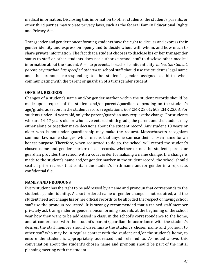medical information. Disclosing this information to other students, the student's parents, or other third parties may violate privacy laws, such as the federal Family Educational Rights and Privacy Act.

Transgender and gender nonconforming students have the right to discuss and express their gender identity and expression openly and to decide when, with whom, and how much to share private information. The fact that a student chooses to disclose his or her transgender status to staff or other students does not authorize school staff to disclose other medical information about the student. Also, to prevent a breach of confidentiality, *unless the student*, *parent, or guardian has specified otherwise*, school staff should use the student's legal name and the pronoun corresponding to the student's gender assigned at birth when communicating with the parent or guardian of a transgender student.

#### **OFFICIAL RECORDS**

Changes of a student's name and/or gender marker within the student records should be made upon request of the student and/or parent/guardian, depending on the student's age/grade, as set out in the student records regulations. 603 CMR 23.01; 603 CMR 23.08. For students under 14 years old, only the parent/guardian may request the change. For students who are 14-17 years old, or who have entered ninth grade, the parent and the student may either alone or together make decisions about the student record. Any student 18 years or older who is not under guardianship may make the request. Massachusetts recognizes common law name changes, which means that anyone can use their chosen name for an honest purpose. Therefore, when requested to do so, the school will record the student's chosen name and gender marker on all records, whether or not the student, parent or guardian provides the school with a court order formalizing a name change. If a change is made to the student's name and/or gender marker in the student record, the school should seal all prior records that contain the student's birth name and/or gender in a separate, confidential file.

#### **NAMES AND PRONOUNS**

Every student has the right to be addressed by a name and pronoun that corresponds to the student's gender identity. A court-ordered name or gender change is not required, and the student need not change his or her official records to be afforded the respect of having school staff use the pronoun requested. It is strongly recommended that a trained staff member privately ask transgender or gender nonconforming students at the beginning of the school year how they want to be addressed in class, in the school's correspondence to the home, and at conferences with the student's parent/guardian. In accordance with the student's desires, the staff member should disseminate the student's chosen name and pronoun to other staff who may be in regular contact with the student and/or the student's home, to ensure the student is appropriately addressed and referred to. As noted above, this conversation about the student's chosen name and pronoun should be part of the initial planning meeting with the student.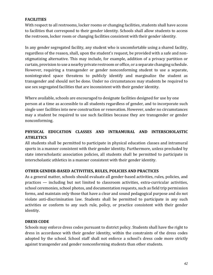## **FACILITIES**

With respect to all restrooms, locker rooms or changing facilities, students shall have access to facilities that correspond to their gender identity. Schools shall allow students to access the restroom, locker room or changing facilities consistent with their gender identity.

In any gender segregated facility, any student who is uncomfortable using a shared facility, regardless of the reason, shall, upon the student's request, be provided with a safe and nonstigmatizing alternative. This may include, for example, addition of a privacy partition or curtain, provision to use a nearby private restroom or office, or a separate changing schedule. However, requiring a transgender or gender nonconforming student to use a separate, nonintegrated space threatens to publicly identify and marginalize the student as transgender and should not be done. Under no circumstances may students be required to use sex segregated facilities that are inconsistent with their gender identity.

Where available, schools are encouraged to designate facilities designed for use by one person at a time as accessible to all students regardless of gender, and to incorporate such single user facilities into new construction or renovation. However, under no circumstances may a student be required to use such facilities because they are transgender or gender nonconforming.

## PHYSICAL EDUCATION CLASSES AND INTRAMURAL AND INTERSCHOLASTIC **ATHLETICS**

All students shall be permitted to participate in physical education classes and intramural sports in a manner consistent with their gender identity. Furthermore, unless precluded by state interscholastic association policies, all students shall be permitted to participate in interscholastic athletics in a manner consistent with their gender identity.

#### **OTHER GENDER-BASED ACTIVITIES, RULES, POLICIES AND PRACTICES**

As a general matter, schools should evaluate all gender-based activities, rules, policies, and  $practices$  — including but not limited to classroom activities, extra-curricular activities, school ceremonies, school photos, and documentation requests, such as field trip permission forms, and maintain only those that have a clear and sound pedagogical purpose and do not violate anti-discrimination law. Students shall be permitted to participate in any such activities or conform to any such rule, policy, or practice consistent with their gender identity.

#### **DRESS CODE**

Schools may enforce dress codes pursuant to district policy. Students shall have the right to dress in accordance with their gender identity, within the constraints of the dress codes adopted by the school. School staff shall not enforce a school's dress code more strictly against transgender and gender nonconforming students than other students.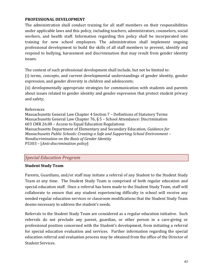#### **PROFESSIONAL DEVELOPMENT**

The administration shall conduct training for all staff members on their responsibilities under applicable laws and this policy, including teachers, administrators, counselors, social workers, and health staff. Information regarding this policy shall be incorporated into training for new school employees. The administration shall implement ongoing professional development to build the skills of all staff members to prevent, identify and respond to bullying, harassment and discrimination that may result from gender identity issues.

The content of such professional development shall include, but not be limited to:

(i) terms, concepts, and current developmental understandings of gender identity, gender expression, and gender diversity in children and adolescents;

(ii) developmentally appropriate strategies for communication with students and parents about issues related to gender identity and gender expression that protect student privacy and safety;

#### References

Massachusetts General Law Chapter 4 Section 7 - Definitions of Statutory Terms Massachusetts General Law Chapter 76, § 5 – School Attendance: Discrimination 603 CMR 26.00 - Access to Equal Education Regulations Massachusetts Department of Elementary and Secondary Education, *Guidance for Massachusetts Public Schools: Creating a Safe and Supporting School Environment – Nondiscrimination on the Basis of Gender Identity* P5303 – [*Anti-discrimination policy*]

## *Special Education Program*

#### **Student Study Team**

Parents, Guardians, and/or staff may initiate a referral of any Student to the Student Study Team at any time. The Student Study Team is comprised of both regular education and special education staff. Once a referral has been made to the Student Study Team, staff will collaborate to ensure that any student experiencing difficulty in school will receive any needed regular education services or classroom modifications that the Student Study Team deems necessary to address the student's needs.

Referrals to the Student Study Team are considered as a regular education initiative. Such referrals do not preclude any parent, guardian, or other person in a care-giving or professional position concerned with the Student's development, from initiating a referral for special education evaluation and services. Further information regarding the special education referral and evaluation process may be obtained from the office of the Director of Student Services.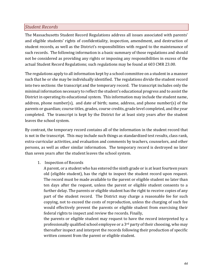## *Student Records*

The Massachusetts Student Record Regulations address all issues associated with parents' and eligible students' rights of confidentiality, inspection, amendment, and destruction of student records, as well as the District's responsibilities with regard to the maintenance of such records. The following information is a basic summary of those regulations and should not be considered as providing any rights or imposing any responsibilities in excess of the actual Student Record Regulations; such regulations may be found at 603 CMR 23.00.

The regulations apply to all information kept by a school committee on a student in a manner such that he or she may be individually identified. The regulations divide the student record into two sections: the transcript and the temporary record. The transcript includes only the minimal information necessary to reflect the student's educational progress and to assist the District in operating its educational system. This information may include the student name, address, phone number(s), and date of birth; name, address, and phone number(s) of the parents or guardian; course titles, grades, course credits, grade level completed, and the year completed. The transcript is kept by the District for at least sixty years after the student leaves the school system.

By contrast, the temporary record contains all of the information in the student record that is not in the transcript. This may include such things as standardized test results, class rank, extra-curricular activities, and evaluation and comments by teachers, counselors, and other persons, as well as other similar information. The temporary record is destroyed no later than seven years after the student leaves the school system.

1. Inspection of Records

A parent, or a student who has entered the ninth grade or is at least fourteen years old (eligible student), has the right to inspect the student record upon request. The record must be made available to the parent or eligible student no later than ten days after the request, unless the parent or eligible student consents to a further delay. The parents or eligible student has the right to receive copies of any part of the student record. The District may charge a reasonable fee for such copying, not to exceed the costs of reproduction, unless the charging of such fee would effectively prevent the parents or eligible student from exercising their federal rights to inspect and review the records. Finally,

the parents or eligible student may request to have the record interpreted by a professionally qualified school employee or a  $3<sup>rd</sup>$  party of their choosing, who may thereafter inspect and interpret the records following their production of specific written consent from the parent or eligible student.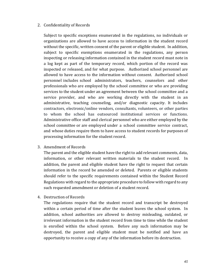#### 2. Confidentiality of Records

Subject to specific exceptions enumerated in the regulations, no individuals or organizations are allowed to have access to information in the student record without the specific, written consent of the parent or eligible student. In addition, subject to specific exemptions enumerated in the regulations, any person inspecting or releasing information contained in the student record must note in a log kept as part of the temporary record, which portion of the record was inspected or released, and for what purpose. Authorized school personnel are allowed to have access to the information without consent. Authorized school personnel includes school administrators, teachers, counselors and other professionals who are employed by the school committee or who are providing services to the student under an agreement between the school committee and a service provider, and who are working directly with the student in an administrative, teaching counseling, and/or diagnostic capacity. It includes contractors, electronic/online vendors, consultants, volunteers, or other parties to whom the school has outsourced institutional services or functions. Administrative office staff and clerical personnel who are either employed by the school committee or are employed under a school committee service contract, and whose duties require them to have access to student records for purposes of processing information for the student record.

3. Amendment of Records

The parent and the eligible student have the right to add relevant comments, data, information, or other relevant written materials to the student record. addition, the parent and eligible student have the right to request that certain information in the record be amended or deleted. Parents or eligible students should refer to the specific requirements contained within the Student Record Regulations with regard to the appropriate procedure to follow with regard to any such requested amendment or deletion of a student record.

4. Destruction of Records

The regulations require that the student record and transcript be destroyed within a certain period of time after the student leaves the school system. In addition, school authorities are allowed to destroy misleading, outdated, or irrelevant information in the student record from time to time while the student is enrolled within the school system. Before any such information may be destroyed, the parent and eligible student must be notified and have an opportunity to receive a copy of any of the information before its destruction.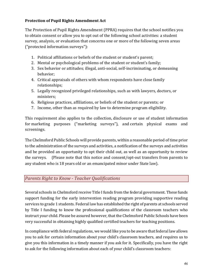## **Protection of Pupil Rights Amendment Act**

The Protection of Pupil Rights Amendment (PPRA) requires that the school notifies you to obtain consent or allow you to opt out of the following school activities: a student survey, analysis, or evaluation that concerns one or more of the following seven areas ("protected information surveys"):

- 1. Political affiliations or beliefs of the student or student's parent;
- 2. Mental or psychological problems of the student or student's family;
- 3. Sex behavior or attitudes; illegal, anti-social, self-incriminating, or demeaning behavior;
- 4. Critical appraisals of others with whom respondents have close family relationships;
- 5. Legally recognized privileged relationships, such as with lawyers, doctors, or ministers;
- 6. Religious practices, affiliations, or beliefs of the student or parents; or
- 7. Income, other than as required by law to determine program eligibility.

This requirement also applies to the collection, disclosure or use of student information for marketing purposes ("marketing surveys"), and certain physical exams and screenings.

The Chelmsford Public Schools will provide parents, within a reasonable period of time prior to the administration of the surveys and activities, a notification of the surveys and activities and be provided an opportunity to opt their child out, as well as an opportunity to review the surveys. (Please note that this notice and consent/opt-out transfers from parents to any student who is 18 years old or an emancipated minor under State law).

## *Parents Right to Know - Teacher Qualifications*

Several schools in Chelmsford receive Title I funds from the federal government. These funds support funding for the early intervention reading program providing supportive reading services to grade 1 students. Federal law has established the right of parents at schools served by Title I funding to know the professional qualifications of the classroom teachers who instruct your child. Please be assured however, that the Chelmsford Public Schools have been very successful in obtaining highly qualified certified teachers for teaching positions.

In compliance with federal regulations, we would like you to be aware that federal law allows you to ask for certain information about your child's classroom teachers, and requires us to give you this information in a timely manner if you ask for it. Specifically, you have the right to ask for the following information about each of your child's classroom teachers: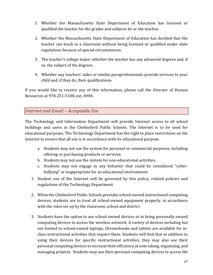- 1. Whether the Massachusetts State Department of Education has licensed or qualified the teacher for the grades and subjects he or she teaches.
- 2. Whether the Massachusetts State Department of Education has decided that the teacher can teach in a classroom without being licensed or qualified under state regulations because of special circumstances.
- 3. The teacher's college major; whether the teacher has any advanced degrees and, if so, the subject of the degrees.
- 4. Whether any teachers' aides or similar paraprofessionals provide services to your child and, if they do, their qualifications.

If you would like to receive any of this information, please call the Director of Human Resources at 978-251-5100, ext. 6904.

## **Internet and Email - Acceptable Use**

The Technology and Information Department will provide Internet access to all school buildings and users in the Chelmsford Public Schools. The Internet is to be used for educational purposes. The Technology Department has the right to place restrictions on the Internet to ensure that all use is in accordance with its educational purpose.

- a. Students may not use the system for personal or commercial purposes, including offering or purchasing products or services.
- b. Students may not use the system for non-educational activities.
- c. Students may not engage in any behavior that could be considered "cyberbullying" or inappropriate for an educational environment.
- 1. Student use of the Internet will be governed by this policy, related policies and regulations of the Technology Department.
- 2. When the Chelmsford Public Schools provides school-owned instructional computing devices, students are to treat all school-owned equipment properly, in accordance with the rules set up by the classroom, school and district.
- 3. Students have the option to use school-owned devices or to bring personally owned computing devices to access the wireless network. A variety of devices including but not limited to school-owned laptops, Chromebooks and tablets are available for inclass instructional activities that require them. Students will find that in addition to using their devices for specific instructional activities, they may also use their personal computing devices to increase their efficiency at note taking, organizing, and managing projects. Students may use their personal computing devices to access the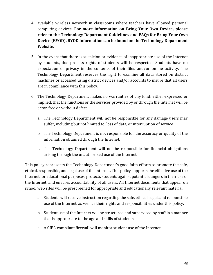- 4. available wireless network in classrooms where teachers have allowed personal computing devices. For more information on Bring Your Own Device, please refer to the Technology Department Guidelines and FAQs for Bring Your Own **Device (BYOD). BYOD information can be found on the Technology Department** Website.
- 5. In the event that there is suspicion or evidence of inappropriate use of the Internet by students, due process rights of students will be respected. Students have no expectation of privacy in the contents of their files and/or online activity. The Technology Department reserves the right to examine all data stored on district machines or accessed using district devices and/or accounts to insure that all users are in compliance with this policy.
- 6. The Technology Department makes no warranties of any kind; either expressed or implied, that the functions or the services provided by or through the Internet will be error-free or without defect.
	- a. The Technology Department will not be responsible for any damage users may suffer, including but not limited to, loss of data, or interruption of service.
	- b. The Technology Department is not responsible for the accuracy or quality of the information obtained through the Internet.
	- c. The Technology Department will not be responsible for financial obligations arising through the unauthorized use of the Internet.

This policy represents the Technology Department's good faith efforts to promote the safe, ethical, responsible, and legal use of the Internet. This policy supports the effective use of the Internet for educational purposes, protects students against potential dangers in their use of the Internet, and ensures accountability of all users. All Internet documents that appear on school web sites will be prescreened for appropriate and educationally relevant material.

- a. Students will receive instruction regarding the safe, ethical, legal, and responsible use of the Internet, as well as their rights and responsibilities under this policy.
- b. Student use of the Internet will be structured and supervised by staff in a manner that is appropriate to the age and skills of students.
- c. A CIPA compliant firewall will monitor student use of the Internet.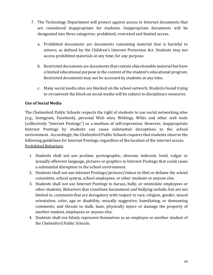- 7. The Technology Department will protect against access to Internet documents that are considered inappropriate for students. Inappropriate documents will be designated into three categories: prohibited, restricted and limited access.
	- a. Prohibited documents are documents containing material that is harmful to minors, as defined by the Children's Internet Protection Act. Students may not access prohibited materials at any time, for any purpose.
	- b. Restricted documents are documents that contain objectionable material but have a limited educational purpose in the context of the student's educational program. Restricted documents may not be accessed by students at any time.
	- c. Many social media sites are blocked on the school network. Students found trying to circumvent the block on social media will be subject to disciplinary measures.

#### Use of Social Media

The Chelmsford Public Schools respects the right of students to use social networking sites (e.g., Instagram, Facebook), personal Web sites, Weblogs, Wikis and other web tools (collectively "Internet Postings") as a medium of self-expression. However, inappropriate Internet Postings by students can cause substantial disruptions to the school environment. Accordingly, the Chelmsford Public Schools requires that students observe the following guidelines for Internet Postings, regardless of the location of the internet access. Prohibited Behaviors:

- 1. Students shall not use profane, pornographic, obscene, indecent, lewd, vulgar or sexually offensive language, pictures or graphics in Internet Postings that could cause a substantial disruption to the school environment.
- 2. Students shall not use Internet Postings/pictures/videos to libel or defame the school committee, school system, school employees, or other students or anyone else.
- 3. Students shall not use Internet Postings to harass, bully, or intimidate employees or other students. Behaviors that constitute harassment and bullying include, but are not limited to, comments that are derogatory with respect to race, religion, gender, sexual orientation, color, age or disability; sexually suggestive, humiliating, or demeaning comments; and threats to stalk, haze, physically injure or damage the property of another student, employees or anyone else.
- 4. Students shall not falsely represent themselves as an employee or another student of the Chelmsford Public Schools.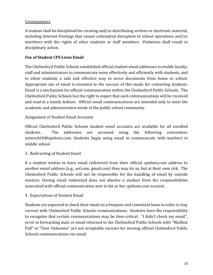#### **Consequences**

A student shall be disciplined for creating and/or distributing written or electronic material, including Internet Postings that causes substantial disruption to school operations and/or interferes with the rights of other students or staff members. Violations shall result in disciplinary action.

#### **Use of Student CPS Lions Email**

The Chelmsford Public Schools established official student email addresses to enable faculty, staff and administrators to communicate more effectively and efficiently with students, and to allow students a safe and effective way to move documents from home to school. Appropriate use of email is essential to the success of this mode for contacting students. Email is a mechanism for official communication within the Chelmsford Public Schools. The Chelmsford Public Schools has the right to expect that such communications will be received and read in a timely fashion. Official email communications are intended only to meet the academic and administrative needs of the public school community.

#### Assignment of Student Email Accounts

Official Chelmsford Public Schools student email accounts are available for all enrolled students. The addresses are accessed using the following convention: networkID@cpslions.com. Students begin using email to communicate with teachers in middle school.

#### 3. Redirecting of Student Email

If a student wishes to have email redirected from their official cpslions.com address to another email address  $(e.g., a$ ol.com, gmail.com) they may do so, but at their own risk. The Chelmsford Public Schools will not be responsible for the handling of email by outside vendors. Having email redirected does not absolve a student from the responsibilities associated with official communication sent to his or her cpslions.com account.

#### 4. Expectations of Student Email

Students are expected to check their email on a frequent and consistent basis in order to stay current with Chelmsford Public Schools communications. Students have the responsibility to recognize that certain communications may be time-critical. "I didn't check my email", error in forwarding mail, or email returned to the Chelmsford Public Schools with "Mailbox Full" or "User Unknown" are not acceptable excuses for missing official Chelmsford Public Schools communications via email.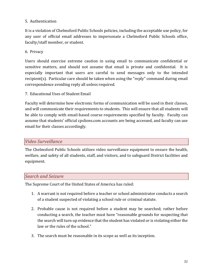## 5. Authentication

It is a violation of Chelmsford Public Schools policies, including the acceptable use policy, for any user of official email addresses to impersonate a Chelmsford Public Schools office, faculty/staff member, or student.

#### 6. Privacy

Users should exercise extreme caution in using email to communicate confidential or sensitive matters, and should not assume that email is private and confidential. It is especially important that users are careful to send messages only to the intended  $r$ ecipient(s). Particular care should be taken when using the "reply" command during email correspondence avoiding reply all unless required.

7. Educational Uses of Student Email

Faculty will determine how electronic forms of communication will be used in their classes, and will communicate their requirements to students. This will ensure that all students will be able to comply with email-based course requirements specified by faculty. Faculty can assume that students' official cpslions.com accounts are being accessed, and faculty can use email for their classes accordingly.

#### *Video Surveillance*

The Chelmsford Public Schools utilizes video surveillance equipment to ensure the health, welfare, and safety of all students, staff, and visitors, and to safeguard District facilities and equipment. 

#### *Search and Seizure*

The Supreme Court of the United States of America has ruled:

- 1. A warrant is not required before a teacher or school administrator conducts a search of a student suspected of violating a school rule or criminal statute.
- 2. Probable cause is not required before a student may be searched; rather before conducting a search, the teacher must have "reasonable grounds for suspecting that the search will turn up evidence that the student has violated or is violating either the law or the rules of the school."
- 3. The search must be reasonable in its scope as well as its inception.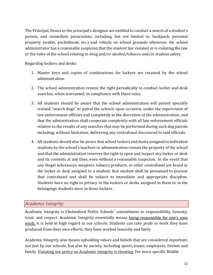The Principal, Deans or the principal's designee are entitled to conduct a search of a student's person, and immediate possessions, including, but not limited to, backpack, personal property (wallet, pocketbook, etc.) and vehicle on school grounds whenever the school administrator has a reasonable suspicion that the student has violated or is violating the law or the rules of the school relating to drug and/or alcohol/tobacco and/or student safety.

Regarding lockers and desks:

- 1. Master keys and copies of combinations for lockers are retained by the school administration.
- 2. The school administration retains the right periodically to conduct locker and desk searches, when warranted, in compliance with these rules.
- 3. All students should be aware that the school administration will permit specially trained "search dogs" to patrol the schools upon occasion, under the supervision of law enforcement officials and completely at the discretion of the administration, and that the administration shall cooperate completely with all law enforcement officials relative to the results of any searches that may be performed during such dog patrols including, without limitation, delivering any contraband discovered to said officials.
- 4. All students should also be aware that school lockers and desks assigned to individual students by the school's teachers or administration remain the property of the school and that the administration reserves the right to open and inspect any locker or desk and its contents at any time, even without a reasonable suspicion. In the event that any illegal substances, weapons, tobacco products, or other contraband are found in the locker or desk assigned to a student, that student shall be presumed to possess that contraband and shall be subject to immediate and appropriate discipline. Students have no right to privacy in the lockers or desks assigned to them or in the belongings students store in those lockers.

## *Academic Integrity*

Academic Integrity is Chelmsford Public Schools' commitment to responsibility, honesty, trust, and respect. Academic Integrity essentially means being responsible for one's own work, it is held in high regard in our schools. Students can take pride in work they have produced from their own efforts; they have worked honestly and fairly.

Academic Integrity also means upholding values and beliefs that are considered important, not just by our schools, but also by society, including sports teams, employers, friends and family. Violating our policy on Academic Integrity is cheating. For more specific Middle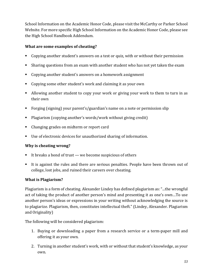School Information on the Academic Honor Code, please visit the McCarthy or Parker School Website. For more specific High School Information on the Academic Honor Code, please see the High School Handbook Addendum.

## **What are some examples of cheating?**

- Copying another student's answers on a test or quiz, with or without their permission
- Sharing questions from an exam with another student who has not yet taken the exam
- Copying another student's answers on a homework assignment
- Copying some other student's work and claiming it as your own
- Allowing another student to copy your work or giving your work to them to turn in as their own
- Forging (signing) your parent's/guardian's name on a note or permission slip
- Plagiarism (copying another's words/work without giving credit)
- Changing grades on midterm or report card
- Use of electronic devices for unauthorized sharing of information.

#### **Why is cheating wrong?**

- It breaks a bond of trust  $-$  we become suspicious of others
- It is against the rules and there are serious penalties. People have been thrown out of college, lost jobs, and ruined their careers over cheating.

#### **What is Plagiarism?**

Plagiarism is a form of cheating. Alexander Lindey has defined plagiarism as: "...the wrongful act of taking the product of another person's mind and presenting it as one's own...To use another person's ideas or expressions in your writing without acknowledging the source is to plagiarize. Plagiarism, then, constitutes intellectual theft." (Lindey, Alexander. Plagiarism and Originality)

The following will be considered plagiarism:

- 1. Buying or downloading a paper from a research service or a term-paper mill and offering it as your own.
- 2. Turning in another student's work, with or without that student's knowledge, as your own.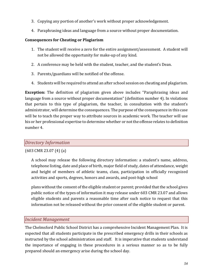- 3. Copying any portion of another's work without proper acknowledgement.
- 4. Paraphrasing ideas and language from a source without proper documentation.

#### **Consequences for Cheating or Plagiarism**

- 1. The student will receive a zero for the entire assignment/assessment. A student will not be allowed the opportunity for make-up of any kind.
- 2. A conference may be held with the student, teacher, and the student's Dean.
- 3. Parents/guardians will be notified of the offense.
- 4. Students will be required to attend an after school session on cheating and plagiarism.

**Exception:** The definition of plagiarism given above includes "Paraphrasing ideas and language from a source without proper documentation" (definition number 4). In violations that pertain to this type of plagiarism, the teacher, in consultation with the student's administrator, will determine the consequences. The purpose of the consequence in this case will be to teach the proper way to attribute sources in academic work. The teacher will use his or her professional expertise to determine whether or not the offense relates to definition number 4.

## *Directory Information*

#### $(603 \text{ CMR } 23.07 \text{ (4)} \text{ (a)}$

A school may release the following directory information: a student's name, address, telephone listing, date and place of birth, major field of study, dates of attendance, weight and height of members of athletic teams, class, participation in officially recognized activities and sports, degrees, honors and awards, and post-high school

plans without the consent of the eligible student or parent; provided that the school gives public notice of the types of information it may release under 603 CMR 23.07 and allows eligible students and parents a reasonable time after such notice to request that this information not be released without the prior consent of the eligible student or parent.

## *Incident Management*

The Chelmsford Public School District has a comprehensive Incident Management Plan. It is expected that all students participate in the prescribed emergency drills in their schools as instructed by the school administration and staff. It is imperative that students understand the importance of engaging in these procedures in a serious manner so as to be fully prepared should an emergency arise during the school day.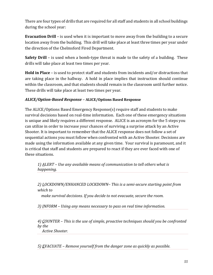There are four types of drills that are required for all staff and students in all school buildings during the school year:

**Evacuation Drill** – is used when it is important to move away from the building to a secure location away from the building. This drill will take place at least three times per year under the direction of the Chelmsford Fired Department.

**Safety Drill** – is used when a bomb-type threat is made to the safety of a building. These drills will take place at least two times per year.

**Hold in Place** – is used to protect staff and students from incidents and/or distractions that are taking place in the hallway. A hold in place implies that instruction should continue within the classroom, and that students should remain in the classroom until further notice. These drills will take place at least two times per year.

## *ALICE/Option-Based Response –* **ALICE/Options Based Response**

The ALICE/Options Based Emergency Response(s) require staff and students to make survival decisions based on real-time information. Each one of these emergency situations is unique and likely requires a different response. ALICE is an acronym for the 5 steps you can utilize in order to increase your chances of surviving a surprise attack by an Active Shooter. It is important to remember that the ALICE response does not follow a set of sequential actions you must follow when confronted with an Active Shooter. Decisions are made using the information available at any given time. Your survival is paramount, and it is critical that staff and students are prepared to react if they are ever faced with one of these situations.

*1) ALERT – Use any available means of communication to tell others what is happening.*

*2) LOCKDOWN/ENHANCED LOCKDOWN– This is a semi-secure starting point from which to*

 *make survival decisions. If you decide to not evacuate, secure the room.*

*3) INFORM – Using any means necessary to pass on real time information.*

*4) COUNTER – This is the use of simple, proactive techniques should you be confronted by the Active Shooter.*

*5) EVACUATE – Remove yourself from the danger zone as quickly as possible.*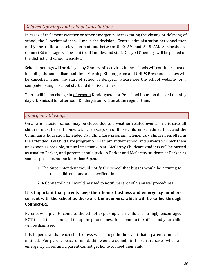## *Delayed Openings and School Cancellations*

In cases of inclement weather or other emergency necessitating the closing or delaying of school, the Superintendent will make the decision. Central administration personnel then notify the radio and television stations between 5:00 AM and 5:45 AM. A Blackboard ConnectEd message will be sent to all families and staff. Delayed Openings will be posted on the district and school websites.

School openings will be delayed by 2 hours. All activities in the schools will continue as usual including the same dismissal time. Morning Kindergarten and CHIPS Preschool classes will be cancelled when the start of school is delayed. Please see the school website for a complete listing of school start and dismissal times.

There will be no change in afternoon Kindergarten or Preschool hours on delayed opening days. Dismissal for afternoon Kindergarten will be at the regular time.

## *Emergency Closings*

On a rare occasion school may be closed due to a weather-related event. In this case, all children must be sent home, with the exception of those children scheduled to attend the Community Education Extended Day Child Care program. Elementary children enrolled in the Extended Day Child Care program will remain at their school and parents will pick them up as soon as possible, but no later than 6 p.m. McCarthy Childcare students will be bussed as usual to Parker, and parents should pick up Parker and McCarthy students at Parker as soon as possible, but no later than 6 p.m.

- 1. The Superintendent would notify the school that busses would be arriving to take children home at a specified time.
- 2. A Connect-Ed call would be used to notify parents of dismissal procedures.

## It is important that parents keep their home, business and emergency numbers current with the school as these are the numbers, which will be called through **Connect-Ed.**

Parents who plan to come to the school to pick up their child are strongly encouraged NOT to call the school and tie up the phone lines. Just come to the office and your child will be dismissed.

It is imperative that each child knows where to go in the event that a parent cannot be notified. For parent peace of mind, this would also help in those rare cases when an emergency arises and a parent cannot get home to meet their child.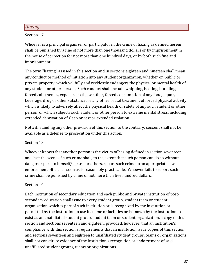## *Hazing*

#### Section 17

Whoever is a principal organizer or participator in the crime of hazing as defined herein shall be punished by a fine of not more than one thousand dollars or by imprisonment in the house of correction for not more than one hundred days, or by both such fine and imprisonment.

The term "hazing" as used in this section and in sections eighteen and nineteen shall mean any conduct or method of initiation into any student organization, whether on public or private property, which willfully and recklessly endangers the physical or mental health of any student or other person. Such conduct shall include whipping, beating, branding, forced calisthenics, exposure to the weather, forced consumption of any food, liquor, beverage, drug or other substance, or any other brutal treatment of forced physical activity which is likely to adversely affect the physical health or safety of any such student or other person, or which subjects such student or other person to extreme mental stress, including extended deprivation of sleep or rest or extended isolation.

Notwithstanding any other provision of this section to the contrary, consent shall not be available as a defense to prosecution under this action.

#### Section 18

Whoever knows that another person is the victim of hazing defined in section seventeen and is at the scene of such crime shall, to the extent that such person can do so without danger or peril to himself/herself or others, report such crime to an appropriate law enforcement official as soon as is reasonably practicable. Whoever fails to report such crime shall be punished by a fine of not more than five hundred dollars.

#### Section 19

Each institution of secondary education and each public and private institution of postsecondary education shall issue to every student group, student team or student organization which is part of such institution or is recognized by the institution or permitted by the institution to use its name or facilities or is known by the institution to exist as an unaffiliated student group, student team or student organization, a copy of this section and sections seventeen and eighteen; provided, however, that an institution's compliance with this section's requirements that an institution issue copies of this section and sections seventeen and eighteen to unaffiliated student groups, teams or organizations shall not constitute evidence of the institution's recognition or endorsement of said unaffiliated student groups, teams or organizations.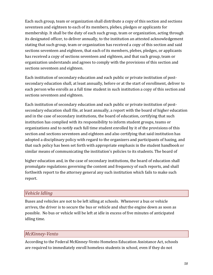Each such group, team or organization shall distribute a copy of this section and sections seventeen and eighteen to each of its members, plebes, pledges or applicants for membership. It shall be the duty of each such group, team or organization, acting through its designated officer, to deliver annually, to the institution an attested acknowledgement stating that such group, team or organization has received a copy of this section and said sections seventeen and eighteen, that each of its members, plebes, pledges, or applicants has received a copy of sections seventeen and eighteen, and that such group, team or organization understands and agrees to comply with the provisions of this section and sections seventeen and eighteen.

Each institution of secondary education and each public or private institution of postsecondary education shall, at least annually, before or at the start of enrollment, deliver to each person who enrolls as a full time student in such institution a copy of this section and sections seventeen and eighteen.

Each institution of secondary education and each public or private institution of postsecondary education shall file, at least annually, a report with the board of higher education and in the case of secondary institutions, the board of education, certifying that such institution has complied with its responsibility to inform student groups, teams or organizations and to notify each full time student enrolled by it of the provisions of this section and sections seventeen and eighteen and also certifying that said institution has adopted a disciplinary policy with regard to the organizers and participants of hazing, and that such policy has been set forth with appropriate emphasis in the student handbook or similar means of communicating the institution's policies to its students. The board of

higher education and, in the case of secondary institutions, the board of education shall promulgate regulations governing the content and frequency of such reports, and shall forthwith report to the attorney general any such institution which fails to make such report.

## *Vehicle Idling*

Buses and vehicles are not to be left idling at schools. Whenever a bus or vehicle arrives, the driver is to secure the bus or vehicle and shut the engine down as soon as possible. No bus or vehicle will be left at idle in excess of five minutes of anticipated idling time.

## *McKinney-Vento*

According to the Federal McKinney-Vento Homeless Education Assistance Act, schools are required to immediately enroll homeless students in school, even if they do not